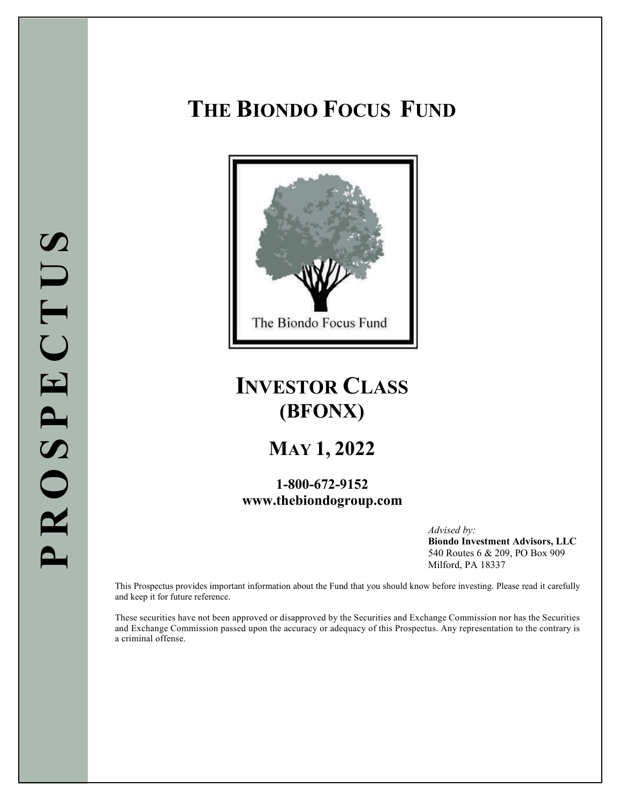# **THE BIONDO FOCUS FUND**



# **INVESTOR CLASS (BFONX)**

# **MAY 1, 2022**

## **1-800-672-9152 [www.thebiondogroup.com](http://www.thebiondogroup.com/)**

*Advised by:* **Biondo Investment Advisors, LLC** 540 Routes 6 & 209, PO Box 909 Milford, PA 18337

This Prospectus provides important information about the Fund that you should know before investing. Please read it carefully and keep it for future reference.

These securities have not been approved or disapproved by the Securities and Exchange Commission nor has the Securities and Exchange Commission passed upon the accuracy or adequacy of this Prospectus. Any representation to the contrary is a criminal offense.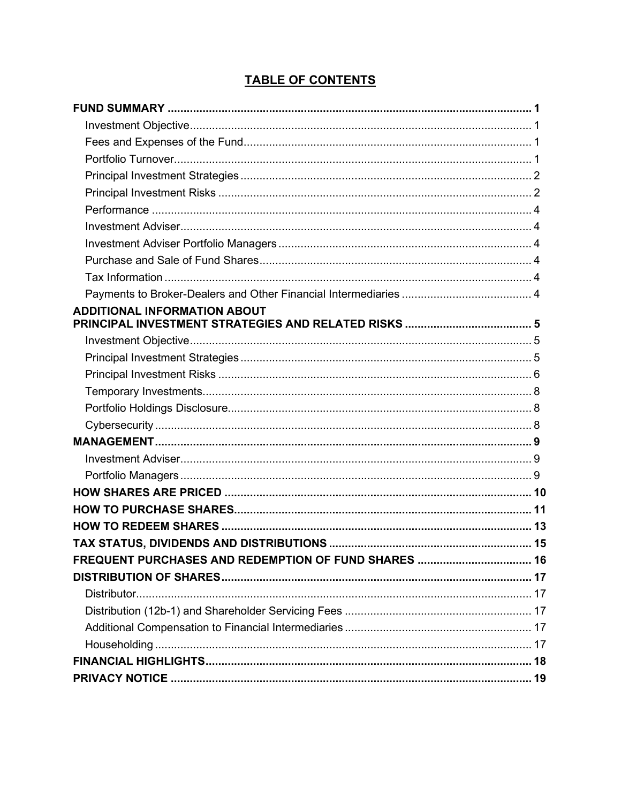## **TABLE OF CONTENTS**

| <b>ADDITIONAL INFORMATION ABOUT</b> |  |
|-------------------------------------|--|
|                                     |  |
|                                     |  |
|                                     |  |
|                                     |  |
|                                     |  |
|                                     |  |
|                                     |  |
|                                     |  |
|                                     |  |
|                                     |  |
|                                     |  |
|                                     |  |
|                                     |  |
|                                     |  |
|                                     |  |
|                                     |  |
|                                     |  |
|                                     |  |
|                                     |  |
|                                     |  |
|                                     |  |
|                                     |  |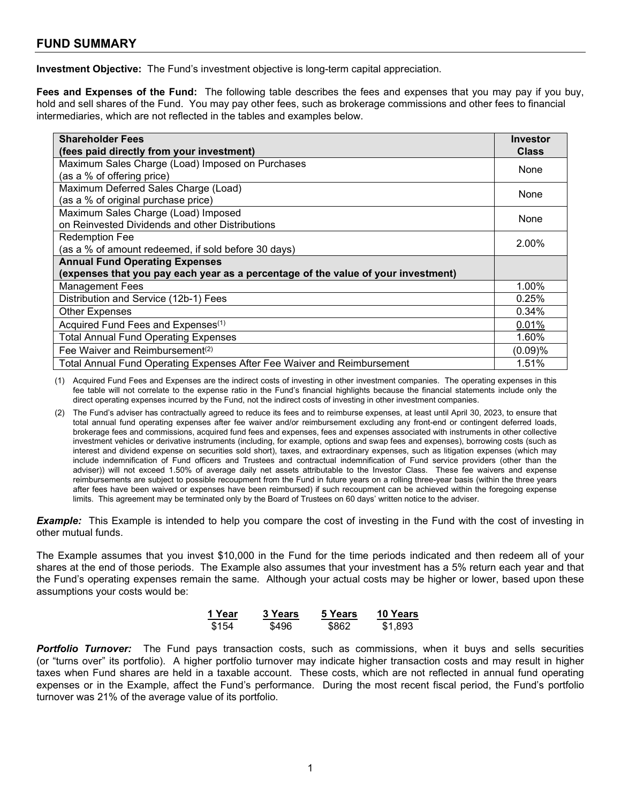## <span id="page-2-0"></span>**FUND SUMMARY**

<span id="page-2-1"></span>**Investment Objective:** The Fund's investment objective is long-term capital appreciation.

<span id="page-2-2"></span>**Fees and Expenses of the Fund:** The following table describes the fees and expenses that you may pay if you buy, hold and sell shares of the Fund. You may pay other fees, such as brokerage commissions and other fees to financial intermediaries, which are not reflected in the tables and examples below.

| <b>Shareholder Fees</b>                                                           | <b>Investor</b> |  |
|-----------------------------------------------------------------------------------|-----------------|--|
| (fees paid directly from your investment)                                         | <b>Class</b>    |  |
| Maximum Sales Charge (Load) Imposed on Purchases                                  | None            |  |
| (as a % of offering price)                                                        |                 |  |
| Maximum Deferred Sales Charge (Load)                                              | None            |  |
| (as a % of original purchase price)                                               |                 |  |
| Maximum Sales Charge (Load) Imposed                                               | None            |  |
| on Reinvested Dividends and other Distributions                                   |                 |  |
| <b>Redemption Fee</b>                                                             | 2.00%           |  |
| (as a % of amount redeemed, if sold before 30 days)                               |                 |  |
| <b>Annual Fund Operating Expenses</b>                                             |                 |  |
| (expenses that you pay each year as a percentage of the value of your investment) |                 |  |
| <b>Management Fees</b>                                                            | 1.00%           |  |
| Distribution and Service (12b-1) Fees                                             | 0.25%           |  |
| <b>Other Expenses</b>                                                             | 0.34%           |  |
| Acquired Fund Fees and Expenses <sup>(1)</sup>                                    | 0.01%           |  |
| <b>Total Annual Fund Operating Expenses</b>                                       | 1.60%           |  |
| Fee Waiver and Reimbursement <sup>(2)</sup>                                       | (0.09)%         |  |
| Total Annual Fund Operating Expenses After Fee Waiver and Reimbursement           | 1.51%           |  |

(1) Acquired Fund Fees and Expenses are the indirect costs of investing in other investment companies. The operating expenses in this fee table will not correlate to the expense ratio in the Fund's financial highlights because the financial statements include only the direct operating expenses incurred by the Fund, not the indirect costs of investing in other investment companies.

(2) The Fund's adviser has contractually agreed to reduce its fees and to reimburse expenses, at least until April 30, 2023, to ensure that total annual fund operating expenses after fee waiver and/or reimbursement excluding any front-end or contingent deferred loads, brokerage fees and commissions, acquired fund fees and expenses, fees and expenses associated with instruments in other collective investment vehicles or derivative instruments (including, for example, options and swap fees and expenses), borrowing costs (such as interest and dividend expense on securities sold short), taxes, and extraordinary expenses, such as litigation expenses (which may include indemnification of Fund officers and Trustees and contractual indemnification of Fund service providers (other than the adviser)) will not exceed 1.50% of average daily net assets attributable to the Investor Class. These fee waivers and expense reimbursements are subject to possible recoupment from the Fund in future years on a rolling three-year basis (within the three years after fees have been waived or expenses have been reimbursed) if such recoupment can be achieved within the foregoing expense limits. This agreement may be terminated only by the Board of Trustees on 60 days' written notice to the adviser.

*Example:* This Example is intended to help you compare the cost of investing in the Fund with the cost of investing in other mutual funds.

The Example assumes that you invest \$10,000 in the Fund for the time periods indicated and then redeem all of your shares at the end of those periods. The Example also assumes that your investment has a 5% return each year and that the Fund's operating expenses remain the same. Although your actual costs may be higher or lower, based upon these assumptions your costs would be:

| 1 Year | 3 Years | 5 Years | <b>10 Years</b> |
|--------|---------|---------|-----------------|
| \$154  | \$496   | \$862   | \$1,893         |

<span id="page-2-4"></span><span id="page-2-3"></span>*Portfolio Turnover:* The Fund pays transaction costs, such as commissions, when it buys and sells securities (or "turns over" its portfolio). A higher portfolio turnover may indicate higher transaction costs and may result in higher taxes when Fund shares are held in a taxable account. These costs, which are not reflected in annual fund operating expenses or in the Example, affect the Fund's performance. During the most recent fiscal period, the Fund's portfolio turnover was 21% of the average value of its portfolio.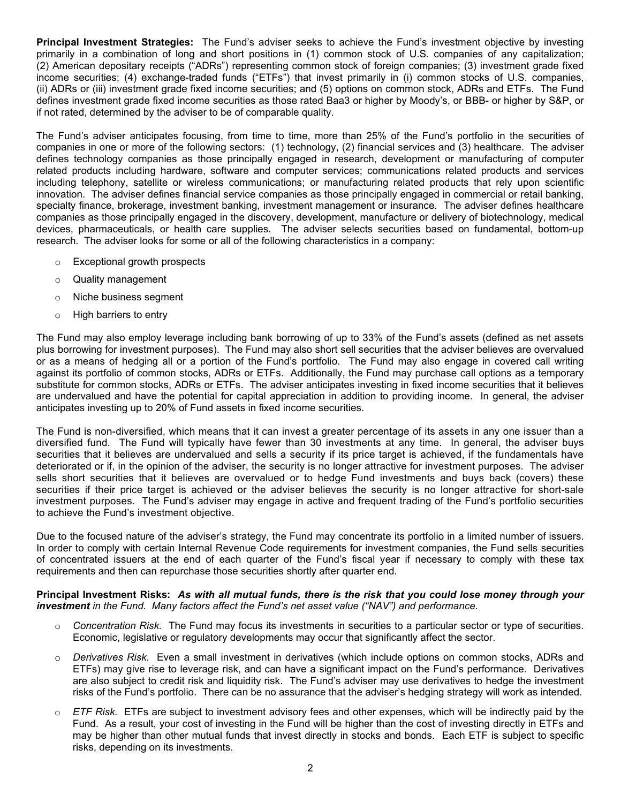**Principal Investment Strategies:** The Fund's adviser seeks to achieve the Fund's investment objective by investing primarily in a combination of long and short positions in (1) common stock of U.S. companies of any capitalization; (2) American depositary receipts ("ADRs") representing common stock of foreign companies; (3) investment grade fixed income securities; (4) exchange-traded funds ("ETFs") that invest primarily in (i) common stocks of U.S. companies, (ii) ADRs or (iii) investment grade fixed income securities; and (5) options on common stock, ADRs and ETFs. The Fund defines investment grade fixed income securities as those rated Baa3 or higher by Moody's, or BBB- or higher by S&P, or if not rated, determined by the adviser to be of comparable quality.

The Fund's adviser anticipates focusing, from time to time, more than 25% of the Fund's portfolio in the securities of companies in one or more of the following sectors: (1) technology, (2) financial services and (3) healthcare. The adviser defines technology companies as those principally engaged in research, development or manufacturing of computer related products including hardware, software and computer services; communications related products and services including telephony, satellite or wireless communications; or manufacturing related products that rely upon scientific innovation. The adviser defines financial service companies as those principally engaged in commercial or retail banking, specialty finance, brokerage, investment banking, investment management or insurance. The adviser defines healthcare companies as those principally engaged in the discovery, development, manufacture or delivery of biotechnology, medical devices, pharmaceuticals, or health care supplies. The adviser selects securities based on fundamental, bottom-up research. The adviser looks for some or all of the following characteristics in a company:

- o Exceptional growth prospects
- o Quality management
- o Niche business segment
- o High barriers to entry

The Fund may also employ leverage including bank borrowing of up to 33% of the Fund's assets (defined as net assets plus borrowing for investment purposes). The Fund may also short sell securities that the adviser believes are overvalued or as a means of hedging all or a portion of the Fund's portfolio. The Fund may also engage in covered call writing against its portfolio of common stocks, ADRs or ETFs. Additionally, the Fund may purchase call options as a temporary substitute for common stocks, ADRs or ETFs. The adviser anticipates investing in fixed income securities that it believes are undervalued and have the potential for capital appreciation in addition to providing income. In general, the adviser anticipates investing up to 20% of Fund assets in fixed income securities.

The Fund is non-diversified, which means that it can invest a greater percentage of its assets in any one issuer than a diversified fund. The Fund will typically have fewer than 30 investments at any time. In general, the adviser buys securities that it believes are undervalued and sells a security if its price target is achieved, if the fundamentals have deteriorated or if, in the opinion of the adviser, the security is no longer attractive for investment purposes. The adviser sells short securities that it believes are overvalued or to hedge Fund investments and buys back (covers) these securities if their price target is achieved or the adviser believes the security is no longer attractive for short-sale investment purposes. The Fund's adviser may engage in active and frequent trading of the Fund's portfolio securities to achieve the Fund's investment objective.

Due to the focused nature of the adviser's strategy, the Fund may concentrate its portfolio in a limited number of issuers. In order to comply with certain Internal Revenue Code requirements for investment companies, the Fund sells securities of concentrated issuers at the end of each quarter of the Fund's fiscal year if necessary to comply with these tax requirements and then can repurchase those securities shortly after quarter end.

#### <span id="page-3-0"></span>Principal Investment Risks: As with all mutual funds, there is the risk that you could lose money through your *investment in the Fund. Many factors affect the Fund's net asset value ("NAV") and performance.*

- o *Concentration Risk.* The Fund may focus its investments in securities to a particular sector or type of securities. Economic, legislative or regulatory developments may occur that significantly affect the sector.
- o *Derivatives Risk.* Even a small investment in derivatives (which include options on common stocks, ADRs and ETFs) may give rise to leverage risk, and can have a significant impact on the Fund's performance. Derivatives are also subject to credit risk and liquidity risk. The Fund's adviser may use derivatives to hedge the investment risks of the Fund's portfolio. There can be no assurance that the adviser's hedging strategy will work as intended.
- o *ETF Risk.* ETFs are subject to investment advisory fees and other expenses, which will be indirectly paid by the Fund. As a result, your cost of investing in the Fund will be higher than the cost of investing directly in ETFs and may be higher than other mutual funds that invest directly in stocks and bonds. Each ETF is subject to specific risks, depending on its investments.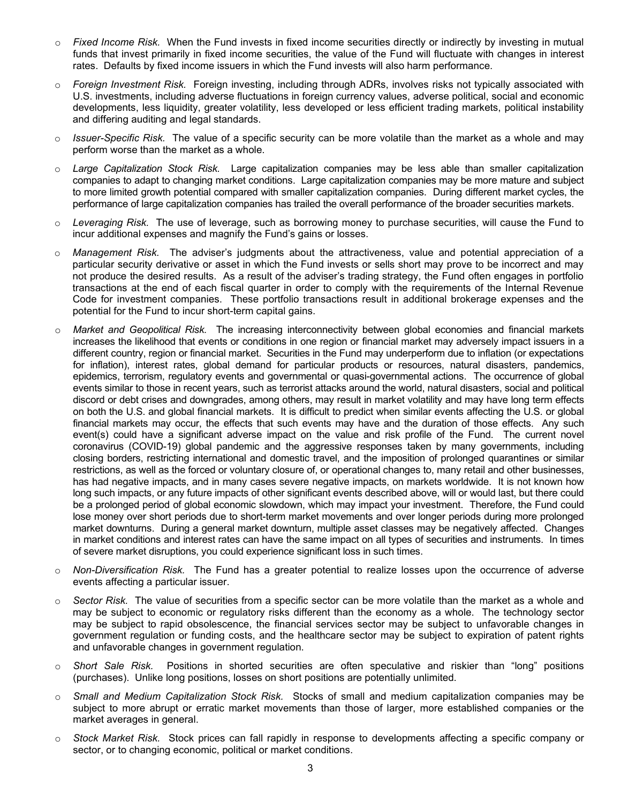- o *Fixed Income Risk.* When the Fund invests in fixed income securities directly or indirectly by investing in mutual funds that invest primarily in fixed income securities, the value of the Fund will fluctuate with changes in interest rates. Defaults by fixed income issuers in which the Fund invests will also harm performance.
- Foreign Investment Risk. Foreign investing, including through ADRs, involves risks not typically associated with U.S. investments, including adverse fluctuations in foreign currency values, adverse political, social and economic developments, less liquidity, greater volatility, less developed or less efficient trading markets, political instability and differing auditing and legal standards.
- o *Issuer-Specific Risk.* The value of a specific security can be more volatile than the market as a whole and may perform worse than the market as a whole.
- o *Large Capitalization Stock Risk.* Large capitalization companies may be less able than smaller capitalization companies to adapt to changing market conditions. Large capitalization companies may be more mature and subject to more limited growth potential compared with smaller capitalization companies. During different market cycles, the performance of large capitalization companies has trailed the overall performance of the broader securities markets.
- o *Leveraging Risk.* The use of leverage, such as borrowing money to purchase securities, will cause the Fund to incur additional expenses and magnify the Fund's gains or losses.
- o *Management Risk.* The adviser's judgments about the attractiveness, value and potential appreciation of a particular security derivative or asset in which the Fund invests or sells short may prove to be incorrect and may not produce the desired results. As a result of the adviser's trading strategy, the Fund often engages in portfolio transactions at the end of each fiscal quarter in order to comply with the requirements of the Internal Revenue Code for investment companies. These portfolio transactions result in additional brokerage expenses and the potential for the Fund to incur short-term capital gains.
- o *Market and Geopolitical Risk.* The increasing interconnectivity between global economies and financial markets increases the likelihood that events or conditions in one region or financial market may adversely impact issuers in a different country, region or financial market. Securities in the Fund may underperform due to inflation (or expectations for inflation), interest rates, global demand for particular products or resources, natural disasters, pandemics, epidemics, terrorism, regulatory events and governmental or quasi-governmental actions. The occurrence of global events similar to those in recent years, such as terrorist attacks around the world, natural disasters, social and political discord or debt crises and downgrades, among others, may result in market volatility and may have long term effects on both the U.S. and global financial markets. It is difficult to predict when similar events affecting the U.S. or global financial markets may occur, the effects that such events may have and the duration of those effects. Any such event(s) could have a significant adverse impact on the value and risk profile of the Fund. The current novel coronavirus (COVID-19) global pandemic and the aggressive responses taken by many governments, including closing borders, restricting international and domestic travel, and the imposition of prolonged quarantines or similar restrictions, as well as the forced or voluntary closure of, or operational changes to, many retail and other businesses, has had negative impacts, and in many cases severe negative impacts, on markets worldwide. It is not known how long such impacts, or any future impacts of other significant events described above, will or would last, but there could be a prolonged period of global economic slowdown, which may impact your investment. Therefore, the Fund could lose money over short periods due to short-term market movements and over longer periods during more prolonged market downturns. During a general market downturn, multiple asset classes may be negatively affected. Changes in market conditions and interest rates can have the same impact on all types of securities and instruments. In times of severe market disruptions, you could experience significant loss in such times.
- o *Non-Diversification Risk.* The Fund has a greater potential to realize losses upon the occurrence of adverse events affecting a particular issuer.
- o *Sector Risk.* The value of securities from a specific sector can be more volatile than the market as a whole and may be subject to economic or regulatory risks different than the economy as a whole. The technology sector may be subject to rapid obsolescence, the financial services sector may be subject to unfavorable changes in government regulation or funding costs, and the healthcare sector may be subject to expiration of patent rights and unfavorable changes in government regulation.
- o *Short Sale Risk.* Positions in shorted securities are often speculative and riskier than "long" positions (purchases). Unlike long positions, losses on short positions are potentially unlimited.
- o *Small and Medium Capitalization Stock Risk.* Stocks of small and medium capitalization companies may be subject to more abrupt or erratic market movements than those of larger, more established companies or the market averages in general.
- o *Stock Market Risk.* Stock prices can fall rapidly in response to developments affecting a specific company or sector, or to changing economic, political or market conditions.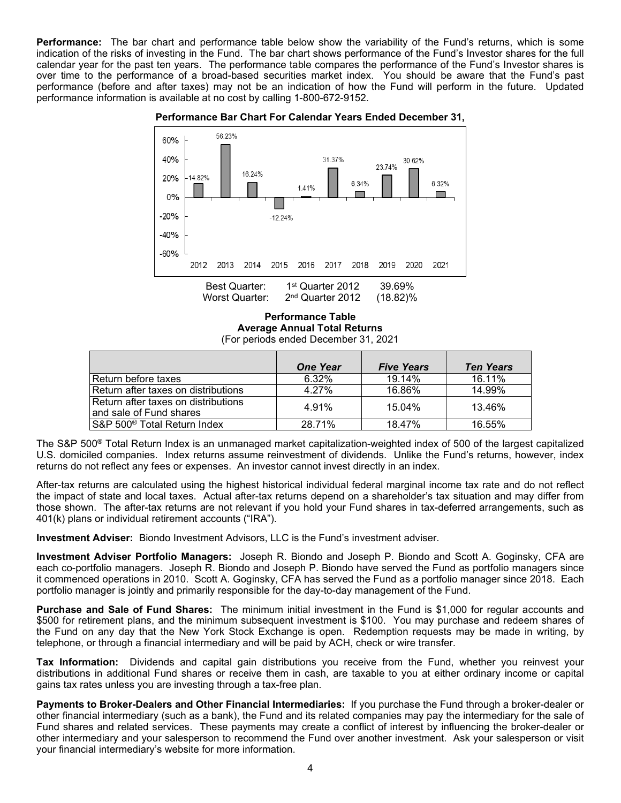<span id="page-5-0"></span>**Performance:** The bar chart and performance table below show the variability of the Fund's returns, which is some indication of the risks of investing in the Fund. The bar chart shows performance of the Fund's Investor shares for the full calendar year for the past ten years. The performance table compares the performance of the Fund's Investor shares is over time to the performance of a broad-based securities market index. You should be aware that the Fund's past performance (before and after taxes) may not be an indication of how the Fund will perform in the future. Updated performance information is available at no cost by calling 1-800-672-9152.



**Performance Bar Chart For Calendar Years Ended December 31,**

**Performance Table Average Annual Total Returns** (For periods ended December 31, 2021

|                                                                | <b>One Year</b> | <b>Five Years</b> | <b>Ten Years</b> |
|----------------------------------------------------------------|-----------------|-------------------|------------------|
| Return before taxes                                            | 6.32%           | 19.14%            | 16.11%           |
| Return after taxes on distributions                            | 4 27%           | 16.86%            | 14.99%           |
| Return after taxes on distributions<br>and sale of Fund shares | 4.91%           | 15.04%            | 13.46%           |
| S&P 500 <sup>®</sup> Total Return Index                        | 28.71%          | 18.47%            | 16.55%           |

The S&P 500® Total Return Index is an unmanaged market capitalization-weighted index of 500 of the largest capitalized U.S. domiciled companies. Index returns assume reinvestment of dividends. Unlike the Fund's returns, however, index returns do not reflect any fees or expenses. An investor cannot invest directly in an index.

After-tax returns are calculated using the highest historical individual federal marginal income tax rate and do not reflect the impact of state and local taxes. Actual after-tax returns depend on a shareholder's tax situation and may differ from those shown. The after-tax returns are not relevant if you hold your Fund shares in tax-deferred arrangements, such as 401(k) plans or individual retirement accounts ("IRA").

<span id="page-5-1"></span>**Investment Adviser:** Biondo Investment Advisors, LLC is the Fund's investment adviser.

<span id="page-5-2"></span>**Investment Adviser Portfolio Managers:** Joseph R. Biondo and Joseph P. Biondo and Scott A. Goginsky, CFA are each co-portfolio managers. Joseph R. Biondo and Joseph P. Biondo have served the Fund as portfolio managers since it commenced operations in 2010. Scott A. Goginsky, CFA has served the Fund as a portfolio manager since 2018. Each portfolio manager is jointly and primarily responsible for the day-to-day management of the Fund.

<span id="page-5-3"></span>**Purchase and Sale of Fund Shares:** The minimum initial investment in the Fund is \$1,000 for regular accounts and \$500 for retirement plans, and the minimum subsequent investment is \$100. You may purchase and redeem shares of the Fund on any day that the New York Stock Exchange is open. Redemption requests may be made in writing, by telephone, or through a financial intermediary and will be paid by ACH, check or wire transfer.

<span id="page-5-4"></span>**Tax Information:** Dividends and capital gain distributions you receive from the Fund, whether you reinvest your distributions in additional Fund shares or receive them in cash, are taxable to you at either ordinary income or capital gains tax rates unless you are investing through a tax-free plan.

<span id="page-5-6"></span><span id="page-5-5"></span>**Payments to Broker-Dealers and Other Financial Intermediaries:** If you purchase the Fund through a broker-dealer or other financial intermediary (such as a bank), the Fund and its related companies may pay the intermediary for the sale of Fund shares and related services. These payments may create a conflict of interest by influencing the broker-dealer or other intermediary and your salesperson to recommend the Fund over another investment. Ask your salesperson or visit your financial intermediary's website for more information.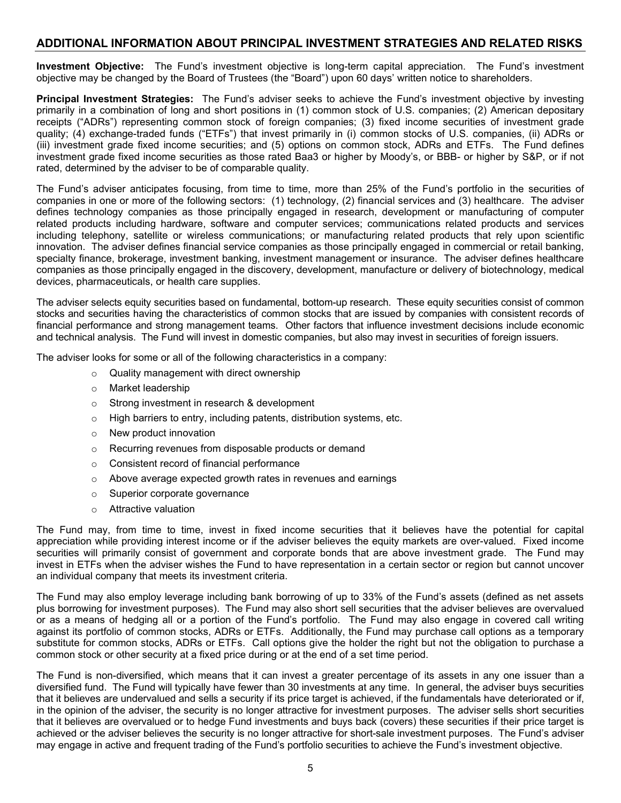### **ADDITIONAL INFORMATION ABOUT PRINCIPAL INVESTMENT STRATEGIES AND RELATED RISKS**

<span id="page-6-0"></span>**Investment Objective:** The Fund's investment objective is long-term capital appreciation. The Fund's investment objective may be changed by the Board of Trustees (the "Board") upon 60 days' written notice to shareholders.

<span id="page-6-1"></span>**Principal Investment Strategies:** The Fund's adviser seeks to achieve the Fund's investment objective by investing primarily in a combination of long and short positions in (1) common stock of U.S. companies; (2) American depositary receipts ("ADRs") representing common stock of foreign companies; (3) fixed income securities of investment grade quality; (4) exchange-traded funds ("ETFs") that invest primarily in (i) common stocks of U.S. companies, (ii) ADRs or (iii) investment grade fixed income securities; and (5) options on common stock, ADRs and ETFs. The Fund defines investment grade fixed income securities as those rated Baa3 or higher by Moody's, or BBB- or higher by S&P, or if not rated, determined by the adviser to be of comparable quality.

The Fund's adviser anticipates focusing, from time to time, more than 25% of the Fund's portfolio in the securities of companies in one or more of the following sectors: (1) technology, (2) financial services and (3) healthcare. The adviser defines technology companies as those principally engaged in research, development or manufacturing of computer related products including hardware, software and computer services; communications related products and services including telephony, satellite or wireless communications; or manufacturing related products that rely upon scientific innovation. The adviser defines financial service companies as those principally engaged in commercial or retail banking, specialty finance, brokerage, investment banking, investment management or insurance. The adviser defines healthcare companies as those principally engaged in the discovery, development, manufacture or delivery of biotechnology, medical devices, pharmaceuticals, or health care supplies.

The adviser selects equity securities based on fundamental, bottom-up research. These equity securities consist of common stocks and securities having the characteristics of common stocks that are issued by companies with consistent records of financial performance and strong management teams. Other factors that influence investment decisions include economic and technical analysis. The Fund will invest in domestic companies, but also may invest in securities of foreign issuers.

The adviser looks for some or all of the following characteristics in a company:

- o Quality management with direct ownership
- o Market leadership
- o Strong investment in research & development
- o High barriers to entry, including patents, distribution systems, etc.
- o New product innovation
- o Recurring revenues from disposable products or demand
- o Consistent record of financial performance
- o Above average expected growth rates in revenues and earnings
- o Superior corporate governance
- o Attractive valuation

The Fund may, from time to time, invest in fixed income securities that it believes have the potential for capital appreciation while providing interest income or if the adviser believes the equity markets are over-valued. Fixed income securities will primarily consist of government and corporate bonds that are above investment grade. The Fund may invest in ETFs when the adviser wishes the Fund to have representation in a certain sector or region but cannot uncover an individual company that meets its investment criteria.

The Fund may also employ leverage including bank borrowing of up to 33% of the Fund's assets (defined as net assets plus borrowing for investment purposes). The Fund may also short sell securities that the adviser believes are overvalued or as a means of hedging all or a portion of the Fund's portfolio. The Fund may also engage in covered call writing against its portfolio of common stocks, ADRs or ETFs. Additionally, the Fund may purchase call options as a temporary substitute for common stocks, ADRs or ETFs. Call options give the holder the right but not the obligation to purchase a common stock or other security at a fixed price during or at the end of a set time period.

The Fund is non-diversified, which means that it can invest a greater percentage of its assets in any one issuer than a diversified fund. The Fund will typically have fewer than 30 investments at any time. In general, the adviser buys securities that it believes are undervalued and sells a security if its price target is achieved, if the fundamentals have deteriorated or if, in the opinion of the adviser, the security is no longer attractive for investment purposes. The adviser sells short securities that it believes are overvalued or to hedge Fund investments and buys back (covers) these securities if their price target is achieved or the adviser believes the security is no longer attractive for short-sale investment purposes. The Fund's adviser may engage in active and frequent trading of the Fund's portfolio securities to achieve the Fund's investment objective.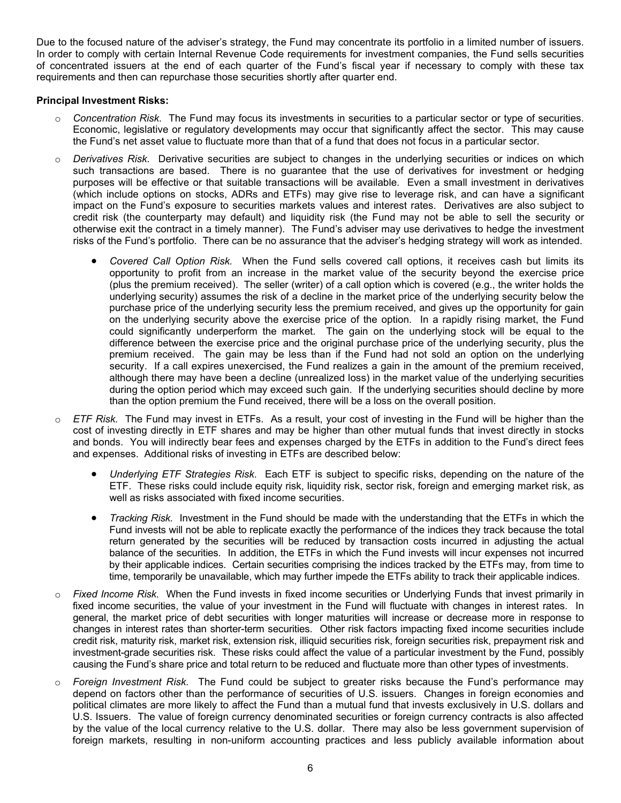Due to the focused nature of the adviser's strategy, the Fund may concentrate its portfolio in a limited number of issuers. In order to comply with certain Internal Revenue Code requirements for investment companies, the Fund sells securities of concentrated issuers at the end of each quarter of the Fund's fiscal year if necessary to comply with these tax requirements and then can repurchase those securities shortly after quarter end.

#### <span id="page-7-0"></span>**Principal Investment Risks:**

- o *Concentration Risk.* The Fund may focus its investments in securities to a particular sector or type of securities. Economic, legislative or regulatory developments may occur that significantly affect the sector. This may cause the Fund's net asset value to fluctuate more than that of a fund that does not focus in a particular sector.
- o *Derivatives Risk.* Derivative securities are subject to changes in the underlying securities or indices on which such transactions are based. There is no guarantee that the use of derivatives for investment or hedging purposes will be effective or that suitable transactions will be available. Even a small investment in derivatives (which include options on stocks, ADRs and ETFs) may give rise to leverage risk, and can have a significant impact on the Fund's exposure to securities markets values and interest rates. Derivatives are also subject to credit risk (the counterparty may default) and liquidity risk (the Fund may not be able to sell the security or otherwise exit the contract in a timely manner). The Fund's adviser may use derivatives to hedge the investment risks of the Fund's portfolio. There can be no assurance that the adviser's hedging strategy will work as intended.
	- *Covered Call Option Risk.* When the Fund sells covered call options, it receives cash but limits its opportunity to profit from an increase in the market value of the security beyond the exercise price (plus the premium received). The seller (writer) of a call option which is covered (e.g., the writer holds the underlying security) assumes the risk of a decline in the market price of the underlying security below the purchase price of the underlying security less the premium received, and gives up the opportunity for gain on the underlying security above the exercise price of the option. In a rapidly rising market, the Fund could significantly underperform the market. The gain on the underlying stock will be equal to the difference between the exercise price and the original purchase price of the underlying security, plus the premium received. The gain may be less than if the Fund had not sold an option on the underlying security. If a call expires unexercised, the Fund realizes a gain in the amount of the premium received, although there may have been a decline (unrealized loss) in the market value of the underlying securities during the option period which may exceed such gain. If the underlying securities should decline by more than the option premium the Fund received, there will be a loss on the overall position.
- o *ETF Risk.* The Fund may invest in ETFs. As a result, your cost of investing in the Fund will be higher than the cost of investing directly in ETF shares and may be higher than other mutual funds that invest directly in stocks and bonds. You will indirectly bear fees and expenses charged by the ETFs in addition to the Fund's direct fees and expenses. Additional risks of investing in ETFs are described below:
	- *Underlying ETF Strategies Risk.* Each ETF is subject to specific risks, depending on the nature of the ETF. These risks could include equity risk, liquidity risk, sector risk, foreign and emerging market risk, as well as risks associated with fixed income securities.
	- *Tracking Risk.* Investment in the Fund should be made with the understanding that the ETFs in which the Fund invests will not be able to replicate exactly the performance of the indices they track because the total return generated by the securities will be reduced by transaction costs incurred in adjusting the actual balance of the securities. In addition, the ETFs in which the Fund invests will incur expenses not incurred by their applicable indices. Certain securities comprising the indices tracked by the ETFs may, from time to time, temporarily be unavailable, which may further impede the ETFs ability to track their applicable indices.
- o *Fixed Income Risk.* When the Fund invests in fixed income securities or Underlying Funds that invest primarily in fixed income securities, the value of your investment in the Fund will fluctuate with changes in interest rates. In general, the market price of debt securities with longer maturities will increase or decrease more in response to changes in interest rates than shorter-term securities. Other risk factors impacting fixed income securities include credit risk, maturity risk, market risk, extension risk, illiquid securities risk, foreign securities risk, prepayment risk and investment-grade securities risk. These risks could affect the value of a particular investment by the Fund, possibly causing the Fund's share price and total return to be reduced and fluctuate more than other types of investments.
- o *Foreign Investment Risk.* The Fund could be subject to greater risks because the Fund's performance may depend on factors other than the performance of securities of U.S. issuers. Changes in foreign economies and political climates are more likely to affect the Fund than a mutual fund that invests exclusively in U.S. dollars and U.S. Issuers. The value of foreign currency denominated securities or foreign currency contracts is also affected by the value of the local currency relative to the U.S. dollar. There may also be less government supervision of foreign markets, resulting in non-uniform accounting practices and less publicly available information about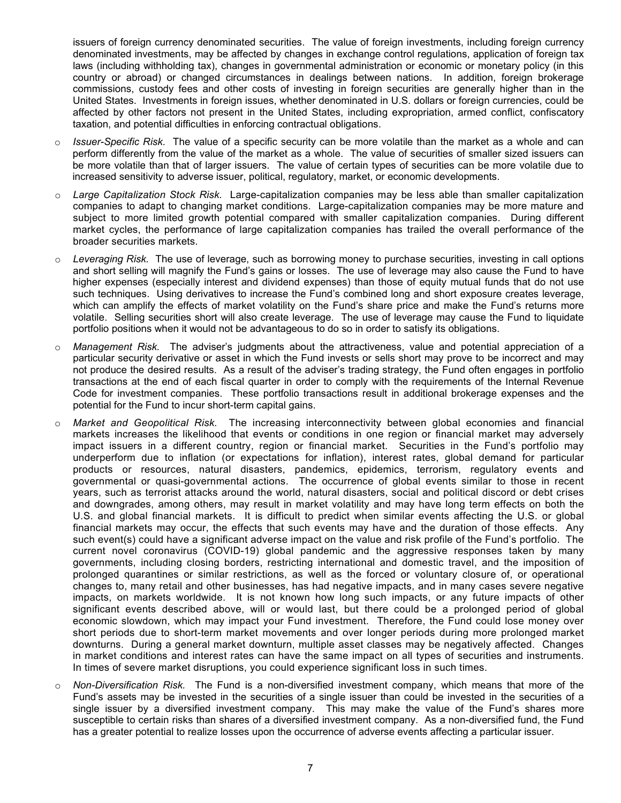issuers of foreign currency denominated securities. The value of foreign investments, including foreign currency denominated investments, may be affected by changes in exchange control regulations, application of foreign tax laws (including withholding tax), changes in governmental administration or economic or monetary policy (in this country or abroad) or changed circumstances in dealings between nations. In addition, foreign brokerage commissions, custody fees and other costs of investing in foreign securities are generally higher than in the United States. Investments in foreign issues, whether denominated in U.S. dollars or foreign currencies, could be affected by other factors not present in the United States, including expropriation, armed conflict, confiscatory taxation, and potential difficulties in enforcing contractual obligations.

- o *Issuer-Specific Risk.* The value of a specific security can be more volatile than the market as a whole and can perform differently from the value of the market as a whole. The value of securities of smaller sized issuers can be more volatile than that of larger issuers. The value of certain types of securities can be more volatile due to increased sensitivity to adverse issuer, political, regulatory, market, or economic developments.
- Large Capitalization Stock Risk. Large-capitalization companies may be less able than smaller capitalization companies to adapt to changing market conditions. Large-capitalization companies may be more mature and subject to more limited growth potential compared with smaller capitalization companies. During different market cycles, the performance of large capitalization companies has trailed the overall performance of the broader securities markets.
- Leveraging Risk. The use of leverage, such as borrowing money to purchase securities, investing in call options and short selling will magnify the Fund's gains or losses. The use of leverage may also cause the Fund to have higher expenses (especially interest and dividend expenses) than those of equity mutual funds that do not use such techniques. Using derivatives to increase the Fund's combined long and short exposure creates leverage, which can amplify the effects of market volatility on the Fund's share price and make the Fund's returns more volatile. Selling securities short will also create leverage. The use of leverage may cause the Fund to liquidate portfolio positions when it would not be advantageous to do so in order to satisfy its obligations.
- o *Management Risk.* The adviser's judgments about the attractiveness, value and potential appreciation of a particular security derivative or asset in which the Fund invests or sells short may prove to be incorrect and may not produce the desired results. As a result of the adviser's trading strategy, the Fund often engages in portfolio transactions at the end of each fiscal quarter in order to comply with the requirements of the Internal Revenue Code for investment companies. These portfolio transactions result in additional brokerage expenses and the potential for the Fund to incur short-term capital gains.
- o *Market and Geopolitical Risk.* The increasing interconnectivity between global economies and financial markets increases the likelihood that events or conditions in one region or financial market may adversely impact issuers in a different country, region or financial market. Securities in the Fund's portfolio may underperform due to inflation (or expectations for inflation), interest rates, global demand for particular products or resources, natural disasters, pandemics, epidemics, terrorism, regulatory events and governmental or quasi-governmental actions. The occurrence of global events similar to those in recent years, such as terrorist attacks around the world, natural disasters, social and political discord or debt crises and downgrades, among others, may result in market volatility and may have long term effects on both the U.S. and global financial markets. It is difficult to predict when similar events affecting the U.S. or global financial markets may occur, the effects that such events may have and the duration of those effects. Any such event(s) could have a significant adverse impact on the value and risk profile of the Fund's portfolio. The current novel coronavirus (COVID-19) global pandemic and the aggressive responses taken by many governments, including closing borders, restricting international and domestic travel, and the imposition of prolonged quarantines or similar restrictions, as well as the forced or voluntary closure of, or operational changes to, many retail and other businesses, has had negative impacts, and in many cases severe negative impacts, on markets worldwide. It is not known how long such impacts, or any future impacts of other significant events described above, will or would last, but there could be a prolonged period of global economic slowdown, which may impact your Fund investment. Therefore, the Fund could lose money over short periods due to short-term market movements and over longer periods during more prolonged market downturns. During a general market downturn, multiple asset classes may be negatively affected. Changes in market conditions and interest rates can have the same impact on all types of securities and instruments. In times of severe market disruptions, you could experience significant loss in such times.
- o *Non-Diversification Risk.* The Fund is a non-diversified investment company, which means that more of the Fund's assets may be invested in the securities of a single issuer than could be invested in the securities of a single issuer by a diversified investment company. This may make the value of the Fund's shares more susceptible to certain risks than shares of a diversified investment company. As a non-diversified fund, the Fund has a greater potential to realize losses upon the occurrence of adverse events affecting a particular issuer.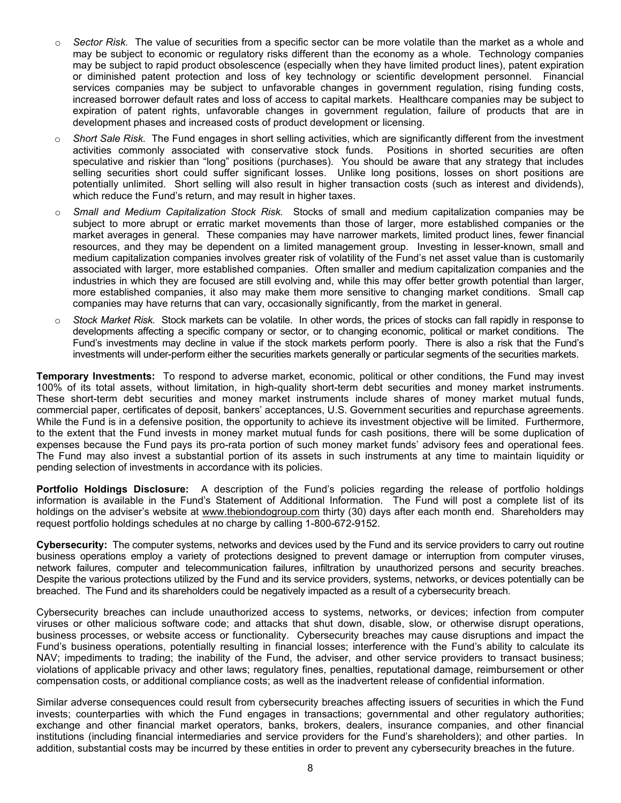- Sector *Risk*. The value of securities from a specific sector can be more volatile than the market as a whole and may be subject to economic or regulatory risks different than the economy as a whole. Technology companies may be subject to rapid product obsolescence (especially when they have limited product lines), patent expiration or diminished patent protection and loss of key technology or scientific development personnel. Financial services companies may be subject to unfavorable changes in government regulation, rising funding costs, increased borrower default rates and loss of access to capital markets. Healthcare companies may be subject to expiration of patent rights, unfavorable changes in government regulation, failure of products that are in development phases and increased costs of product development or licensing.
- o *Short Sale Risk.* The Fund engages in short selling activities, which are significantly different from the investment activities commonly associated with conservative stock funds. Positions in shorted securities are often speculative and riskier than "long" positions (purchases). You should be aware that any strategy that includes selling securities short could suffer significant losses. Unlike long positions, losses on short positions are potentially unlimited. Short selling will also result in higher transaction costs (such as interest and dividends), which reduce the Fund's return, and may result in higher taxes.
- o *Small and Medium Capitalization Stock Risk.* Stocks of small and medium capitalization companies may be subject to more abrupt or erratic market movements than those of larger, more established companies or the market averages in general. These companies may have narrower markets, limited product lines, fewer financial resources, and they may be dependent on a limited management group. Investing in lesser-known, small and medium capitalization companies involves greater risk of volatility of the Fund's net asset value than is customarily associated with larger, more established companies. Often smaller and medium capitalization companies and the industries in which they are focused are still evolving and, while this may offer better growth potential than larger, more established companies, it also may make them more sensitive to changing market conditions. Small cap companies may have returns that can vary, occasionally significantly, from the market in general.
- o *Stock Market Risk.* Stock markets can be volatile. In other words, the prices of stocks can fall rapidly in response to developments affecting a specific company or sector, or to changing economic, political or market conditions. The Fund's investments may decline in value if the stock markets perform poorly. There is also a risk that the Fund's investments will under-perform either the securities markets generally or particular segments of the securities markets.

<span id="page-9-0"></span>**Temporary Investments:** To respond to adverse market, economic, political or other conditions, the Fund may invest 100% of its total assets, without limitation, in high-quality short-term debt securities and money market instruments. These short-term debt securities and money market instruments include shares of money market mutual funds, commercial paper, certificates of deposit, bankers' acceptances, U.S. Government securities and repurchase agreements. While the Fund is in a defensive position, the opportunity to achieve its investment objective will be limited. Furthermore, to the extent that the Fund invests in money market mutual funds for cash positions, there will be some duplication of expenses because the Fund pays its pro-rata portion of such money market funds' advisory fees and operational fees. The Fund may also invest a substantial portion of its assets in such instruments at any time to maintain liquidity or pending selection of investments in accordance with its policies.

<span id="page-9-1"></span>**Portfolio Holdings Disclosure:** A description of the Fund's policies regarding the release of portfolio holdings information is available in the Fund's Statement of Additional Information. The Fund will post a complete list of its holdings on the adviser's website at [www.thebiondogroup.com](http://www.thebiondogroup.com/) thirty (30) days after each month end. Shareholders may request portfolio holdings schedules at no charge by calling 1-800-672-9152.

<span id="page-9-2"></span>**Cybersecurity:** The computer systems, networks and devices used by the Fund and its service providers to carry out routine business operations employ a variety of protections designed to prevent damage or interruption from computer viruses, network failures, computer and telecommunication failures, infiltration by unauthorized persons and security breaches. Despite the various protections utilized by the Fund and its service providers, systems, networks, or devices potentially can be breached. The Fund and its shareholders could be negatively impacted as a result of a cybersecurity breach.

Cybersecurity breaches can include unauthorized access to systems, networks, or devices; infection from computer viruses or other malicious software code; and attacks that shut down, disable, slow, or otherwise disrupt operations, business processes, or website access or functionality. Cybersecurity breaches may cause disruptions and impact the Fund's business operations, potentially resulting in financial losses; interference with the Fund's ability to calculate its NAV; impediments to trading; the inability of the Fund, the adviser, and other service providers to transact business; violations of applicable privacy and other laws; regulatory fines, penalties, reputational damage, reimbursement or other compensation costs, or additional compliance costs; as well as the inadvertent release of confidential information.

<span id="page-9-3"></span>Similar adverse consequences could result from cybersecurity breaches affecting issuers of securities in which the Fund invests; counterparties with which the Fund engages in transactions; governmental and other regulatory authorities; exchange and other financial market operators, banks, brokers, dealers, insurance companies, and other financial institutions (including financial intermediaries and service providers for the Fund's shareholders); and other parties. In addition, substantial costs may be incurred by these entities in order to prevent any cybersecurity breaches in the future.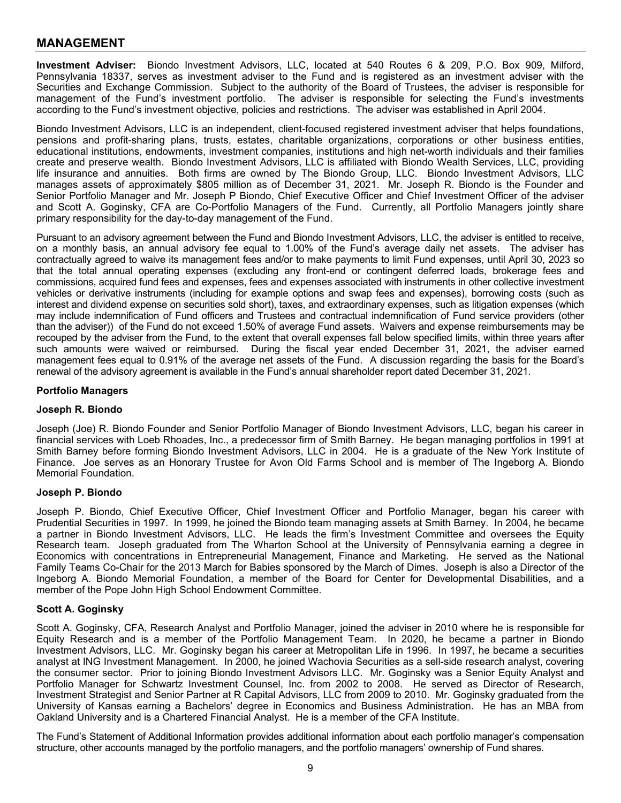### **MANAGEMENT**

<span id="page-10-0"></span>**Investment Adviser:** Biondo Investment Advisors, LLC, located at 540 Routes 6 & 209, P.O. Box 909, Milford, Pennsylvania 18337, serves as investment adviser to the Fund and is registered as an investment adviser with the Securities and Exchange Commission. Subject to the authority of the Board of Trustees, the adviser is responsible for management of the Fund's investment portfolio. The adviser is responsible for selecting the Fund's investments according to the Fund's investment objective, policies and restrictions. The adviser was established in April 2004.

Biondo Investment Advisors, LLC is an independent, client-focused registered investment adviser that helps foundations, pensions and profit-sharing plans, trusts, estates, charitable organizations, corporations or other business entities, educational institutions, endowments, investment companies, institutions and high net-worth individuals and their families create and preserve wealth. Biondo Investment Advisors, LLC is affiliated with Biondo Wealth Services, LLC, providing life insurance and annuities. Both firms are owned by The Biondo Group, LLC. Biondo Investment Advisors, LLC manages assets of approximately \$805 million as of December 31, 2021. Mr. Joseph R. Biondo is the Founder and Senior Portfolio Manager and Mr. Joseph P Biondo, Chief Executive Officer and Chief Investment Officer of the adviser and Scott A. Goginsky, CFA are Co-Portfolio Managers of the Fund. Currently, all Portfolio Managers jointly share primary responsibility for the day-to-day management of the Fund.

Pursuant to an advisory agreement between the Fund and Biondo Investment Advisors, LLC, the adviser is entitled to receive, on a monthly basis, an annual advisory fee equal to 1.00% of the Fund's average daily net assets. The adviser has contractually agreed to waive its management fees and/or to make payments to limit Fund expenses, until April 30, 2023 so that the total annual operating expenses (excluding any front-end or contingent deferred loads, brokerage fees and commissions, acquired fund fees and expenses, fees and expenses associated with instruments in other collective investment vehicles or derivative instruments (including for example options and swap fees and expenses), borrowing costs (such as interest and dividend expense on securities sold short), taxes, and extraordinary expenses, such as litigation expenses (which may include indemnification of Fund officers and Trustees and contractual indemnification of Fund service providers (other than the adviser)) of the Fund do not exceed 1.50% of average Fund assets. Waivers and expense reimbursements may be recouped by the adviser from the Fund, to the extent that overall expenses fall below specified limits, within three years after such amounts were waived or reimbursed. During the fiscal year ended December 31, 2021, the adviser earned management fees equal to 0.91% of the average net assets of the Fund. A discussion regarding the basis for the Board's renewal of the advisory agreement is available in the Fund's annual shareholder report dated December 31, 2021.

#### <span id="page-10-1"></span>**Portfolio Managers**

#### **Joseph R. Biondo**

Joseph (Joe) R. Biondo Founder and Senior Portfolio Manager of Biondo Investment Advisors, LLC, began his career in financial services with Loeb Rhoades, Inc., a predecessor firm of Smith Barney. He began managing portfolios in 1991 at Smith Barney before forming Biondo Investment Advisors, LLC in 2004. He is a graduate of the New York Institute of Finance. Joe serves as an Honorary Trustee for Avon Old Farms School and is member of The Ingeborg A. Biondo Memorial Foundation.

#### **Joseph P. Biondo**

Joseph P. Biondo, Chief Executive Officer, Chief Investment Officer and Portfolio Manager, began his career with Prudential Securities in 1997. In 1999, he joined the Biondo team managing assets at Smith Barney. In 2004, he became a partner in Biondo Investment Advisors, LLC. He leads the firm's Investment Committee and oversees the Equity Research team. Joseph graduated from The Wharton School at the University of Pennsylvania earning a degree in Economics with concentrations in Entrepreneurial Management, Finance and Marketing. He served as the National Family Teams Co-Chair for the 2013 March for Babies sponsored by the March of Dimes. Joseph is also a Director of the Ingeborg A. Biondo Memorial Foundation, a member of the Board for Center for Developmental Disabilities, and a member of the Pope John High School Endowment Committee.

#### **Scott A. Goginsky**

Scott A. Goginsky, CFA, Research Analyst and Portfolio Manager, joined the adviser in 2010 where he is responsible for Equity Research and is a member of the Portfolio Management Team. In 2020, he became a partner in Biondo Investment Advisors, LLC. Mr. Goginsky began his career at Metropolitan Life in 1996. In 1997, he became a securities analyst at ING Investment Management. In 2000, he joined Wachovia Securities as a sell-side research analyst, covering the consumer sector. Prior to joining Biondo Investment Advisors LLC. Mr. Goginsky was a Senior Equity Analyst and Portfolio Manager for Schwartz Investment Counsel, Inc. from 2002 to 2008. He served as Director of Research, Investment Strategist and Senior Partner at R Capital Advisors, LLC from 2009 to 2010. Mr. Goginsky graduated from the University of Kansas earning a Bachelors' degree in Economics and Business Administration. He has an MBA from Oakland University and is a Chartered Financial Analyst. He is a member of the CFA Institute.

<span id="page-10-2"></span>The Fund's Statement of Additional Information provides additional information about each portfolio manager's compensation structure, other accounts managed by the portfolio managers, and the portfolio managers' ownership of Fund shares.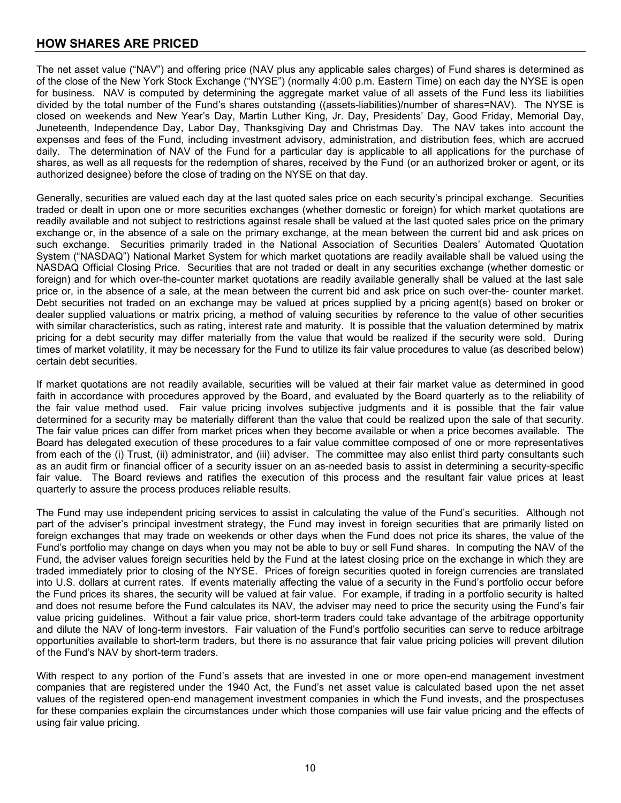## **HOW SHARES ARE PRICED**

The net asset value ("NAV") and offering price (NAV plus any applicable sales charges) of Fund shares is determined as of the close of the New York Stock Exchange ("NYSE") (normally 4:00 p.m. Eastern Time) on each day the NYSE is open for business. NAV is computed by determining the aggregate market value of all assets of the Fund less its liabilities divided by the total number of the Fund's shares outstanding ((assets-liabilities)/number of shares=NAV). The NYSE is closed on weekends and New Year's Day, Martin Luther King, Jr. Day, Presidents' Day, Good Friday, Memorial Day, Juneteenth, Independence Day, Labor Day, Thanksgiving Day and Christmas Day. The NAV takes into account the expenses and fees of the Fund, including investment advisory, administration, and distribution fees, which are accrued daily. The determination of NAV of the Fund for a particular day is applicable to all applications for the purchase of shares, as well as all requests for the redemption of shares, received by the Fund (or an authorized broker or agent, or its authorized designee) before the close of trading on the NYSE on that day.

Generally, securities are valued each day at the last quoted sales price on each security's principal exchange. Securities traded or dealt in upon one or more securities exchanges (whether domestic or foreign) for which market quotations are readily available and not subject to restrictions against resale shall be valued at the last quoted sales price on the primary exchange or, in the absence of a sale on the primary exchange, at the mean between the current bid and ask prices on such exchange. Securities primarily traded in the National Association of Securities Dealers' Automated Quotation System ("NASDAQ") National Market System for which market quotations are readily available shall be valued using the NASDAQ Official Closing Price. Securities that are not traded or dealt in any securities exchange (whether domestic or foreign) and for which over-the-counter market quotations are readily available generally shall be valued at the last sale price or, in the absence of a sale, at the mean between the current bid and ask price on such over-the- counter market. Debt securities not traded on an exchange may be valued at prices supplied by a pricing agent(s) based on broker or dealer supplied valuations or matrix pricing, a method of valuing securities by reference to the value of other securities with similar characteristics, such as rating, interest rate and maturity. It is possible that the valuation determined by matrix pricing for a debt security may differ materially from the value that would be realized if the security were sold. During times of market volatility, it may be necessary for the Fund to utilize its fair value procedures to value (as described below) certain debt securities.

If market quotations are not readily available, securities will be valued at their fair market value as determined in good faith in accordance with procedures approved by the Board, and evaluated by the Board quarterly as to the reliability of the fair value method used. Fair value pricing involves subjective judgments and it is possible that the fair value determined for a security may be materially different than the value that could be realized upon the sale of that security. The fair value prices can differ from market prices when they become available or when a price becomes available. The Board has delegated execution of these procedures to a fair value committee composed of one or more representatives from each of the (i) Trust, (ii) administrator, and (iii) adviser. The committee may also enlist third party consultants such as an audit firm or financial officer of a security issuer on an as-needed basis to assist in determining a security-specific fair value. The Board reviews and ratifies the execution of this process and the resultant fair value prices at least quarterly to assure the process produces reliable results.

The Fund may use independent pricing services to assist in calculating the value of the Fund's securities. Although not part of the adviser's principal investment strategy, the Fund may invest in foreign securities that are primarily listed on foreign exchanges that may trade on weekends or other days when the Fund does not price its shares, the value of the Fund's portfolio may change on days when you may not be able to buy or sell Fund shares. In computing the NAV of the Fund, the adviser values foreign securities held by the Fund at the latest closing price on the exchange in which they are traded immediately prior to closing of the NYSE. Prices of foreign securities quoted in foreign currencies are translated into U.S. dollars at current rates. If events materially affecting the value of a security in the Fund's portfolio occur before the Fund prices its shares, the security will be valued at fair value. For example, if trading in a portfolio security is halted and does not resume before the Fund calculates its NAV, the adviser may need to price the security using the Fund's fair value pricing guidelines. Without a fair value price, short-term traders could take advantage of the arbitrage opportunity and dilute the NAV of long-term investors. Fair valuation of the Fund's portfolio securities can serve to reduce arbitrage opportunities available to short-term traders, but there is no assurance that fair value pricing policies will prevent dilution of the Fund's NAV by short-term traders.

<span id="page-11-0"></span>With respect to any portion of the Fund's assets that are invested in one or more open-end management investment companies that are registered under the 1940 Act, the Fund's net asset value is calculated based upon the net asset values of the registered open-end management investment companies in which the Fund invests, and the prospectuses for these companies explain the circumstances under which those companies will use fair value pricing and the effects of using fair value pricing.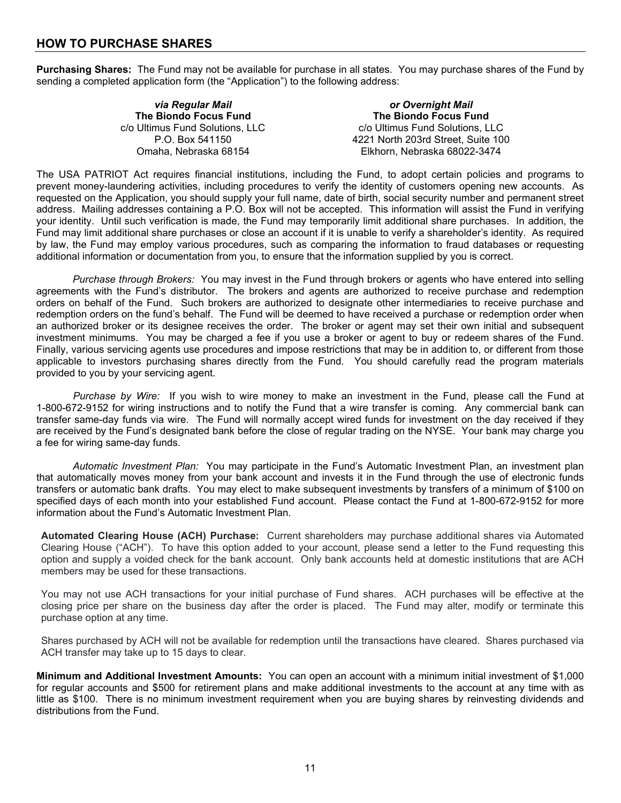## **HOW TO PURCHASE SHARES**

**Purchasing Shares:** The Fund may not be available for purchase in all states. You may purchase shares of the Fund by sending a completed application form (the "Application") to the following address:

| via Regular Mail                | or Overnight Mail                  |
|---------------------------------|------------------------------------|
| The Biondo Focus Fund           | The Biondo Focus Fund              |
| c/o Ultimus Fund Solutions, LLC | c/o Ultimus Fund Solutions, LLC    |
| P.O. Box 541150                 | 4221 North 203rd Street, Suite 100 |
| Omaha, Nebraska 68154           | Elkhorn, Nebraska 68022-3474       |

The USA PATRIOT Act requires financial institutions, including the Fund, to adopt certain policies and programs to prevent money-laundering activities, including procedures to verify the identity of customers opening new accounts. As requested on the Application, you should supply your full name, date of birth, social security number and permanent street address. Mailing addresses containing a P.O. Box will not be accepted. This information will assist the Fund in verifying your identity. Until such verification is made, the Fund may temporarily limit additional share purchases. In addition, the Fund may limit additional share purchases or close an account if it is unable to verify a shareholder's identity. As required by law, the Fund may employ various procedures, such as comparing the information to fraud databases or requesting additional information or documentation from you, to ensure that the information supplied by you is correct.

*Purchase through Brokers:* You may invest in the Fund through brokers or agents who have entered into selling agreements with the Fund's distributor. The brokers and agents are authorized to receive purchase and redemption orders on behalf of the Fund. Such brokers are authorized to designate other intermediaries to receive purchase and redemption orders on the fund's behalf. The Fund will be deemed to have received a purchase or redemption order when an authorized broker or its designee receives the order. The broker or agent may set their own initial and subsequent investment minimums. You may be charged a fee if you use a broker or agent to buy or redeem shares of the Fund. Finally, various servicing agents use procedures and impose restrictions that may be in addition to, or different from those applicable to investors purchasing shares directly from the Fund. You should carefully read the program materials provided to you by your servicing agent.

*Purchase by Wire:* If you wish to wire money to make an investment in the Fund, please call the Fund at 1-800-672-9152 for wiring instructions and to notify the Fund that a wire transfer is coming. Any commercial bank can transfer same-day funds via wire. The Fund will normally accept wired funds for investment on the day received if they are received by the Fund's designated bank before the close of regular trading on the NYSE. Your bank may charge you a fee for wiring same-day funds.

*Automatic Investment Plan:* You may participate in the Fund's Automatic Investment Plan, an investment plan that automatically moves money from your bank account and invests it in the Fund through the use of electronic funds transfers or automatic bank drafts. You may elect to make subsequent investments by transfers of a minimum of \$100 on specified days of each month into your established Fund account. Please contact the Fund at 1-800-672-9152 for more information about the Fund's Automatic Investment Plan.

**Automated Clearing House (ACH) Purchase:** Current shareholders may purchase additional shares via Automated Clearing House ("ACH"). To have this option added to your account, please send a letter to the Fund requesting this option and supply a voided check for the bank account. Only bank accounts held at domestic institutions that are ACH members may be used for these transactions.

You may not use ACH transactions for your initial purchase of Fund shares. ACH purchases will be effective at the closing price per share on the business day after the order is placed. The Fund may alter, modify or terminate this purchase option at any time.

Shares purchased by ACH will not be available for redemption until the transactions have cleared. Shares purchased via ACH transfer may take up to 15 days to clear.

**Minimum and Additional Investment Amounts:** You can open an account with a minimum initial investment of \$1,000 for regular accounts and \$500 for retirement plans and make additional investments to the account at any time with as little as \$100. There is no minimum investment requirement when you are buying shares by reinvesting dividends and distributions from the Fund.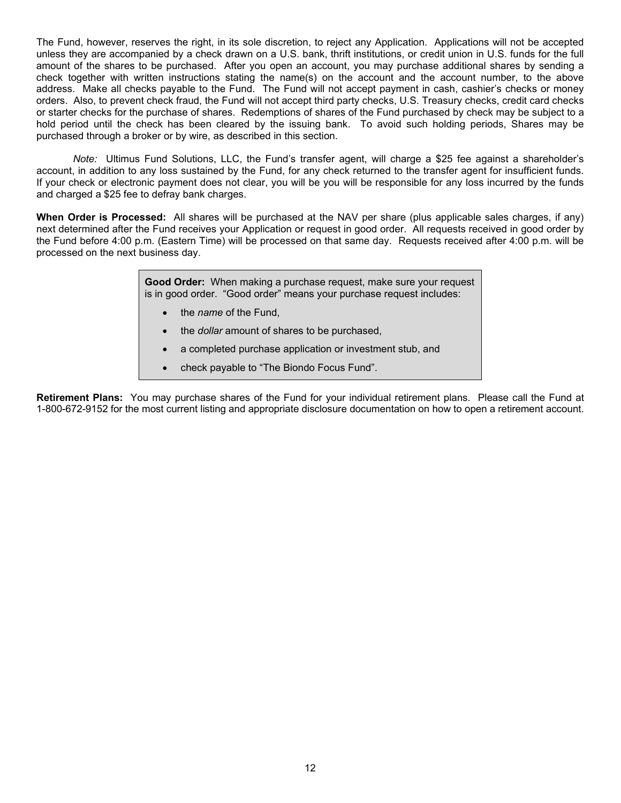The Fund, however, reserves the right, in its sole discretion, to reject any Application. Applications will not be accepted unless they are accompanied by a check drawn on a U.S. bank, thrift institutions, or credit union in U.S. funds for the full amount of the shares to be purchased. After you open an account, you may purchase additional shares by sending a check together with written instructions stating the name(s) on the account and the account number, to the above address. Make all checks payable to the Fund. The Fund will not accept payment in cash, cashier's checks or money orders. Also, to prevent check fraud, the Fund will not accept third party checks, U.S. Treasury checks, credit card checks or starter checks for the purchase of shares. Redemptions of shares of the Fund purchased by check may be subject to a hold period until the check has been cleared by the issuing bank. To avoid such holding periods, Shares may be purchased through a broker or by wire, as described in this section.

*Note:* Ultimus Fund Solutions, LLC, the Fund's transfer agent, will charge a \$25 fee against a shareholder's account, in addition to any loss sustained by the Fund, for any check returned to the transfer agent for insufficient funds. If your check or electronic payment does not clear, you will be you will be responsible for any loss incurred by the funds and charged a \$25 fee to defray bank charges.

**When Order is Processed:** All shares will be purchased at the NAV per share (plus applicable sales charges, if any) next determined after the Fund receives your Application or request in good order. All requests received in good order by the Fund before 4:00 p.m. (Eastern Time) will be processed on that same day. Requests received after 4:00 p.m. will be processed on the next business day.

> **Good Order:** When making a purchase request, make sure your request is in good order. "Good order" means your purchase request includes:

- the *name* of the Fund,
- the *dollar* amount of shares to be purchased,
- a completed purchase application or investment stub, and
- check payable to "The Biondo Focus Fund".

<span id="page-13-0"></span>**Retirement Plans:** You may purchase shares of the Fund for your individual retirement plans. Please call the Fund at 1-800-672-9152 for the most current listing and appropriate disclosure documentation on how to open a retirement account.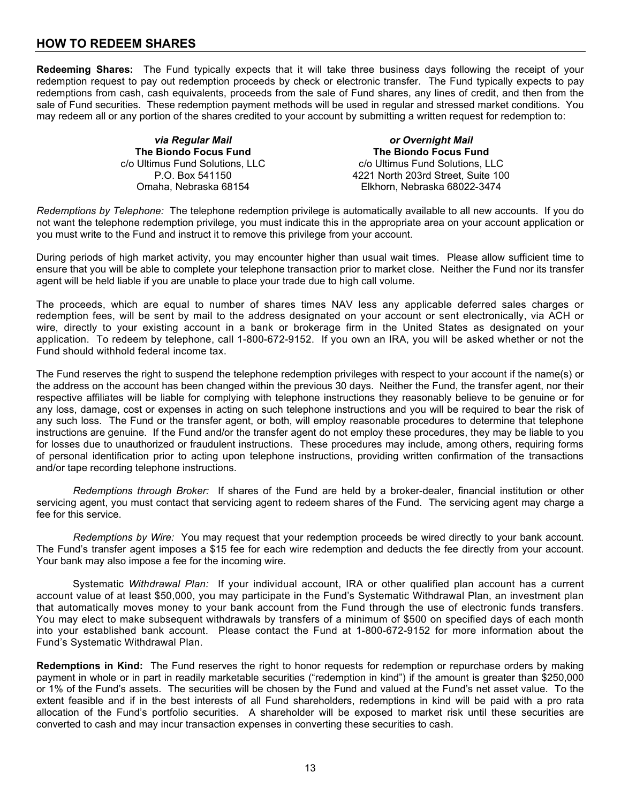## **HOW TO REDEEM SHARES**

**Redeeming Shares:** The Fund typically expects that it will take three business days following the receipt of your redemption request to pay out redemption proceeds by check or electronic transfer. The Fund typically expects to pay redemptions from cash, cash equivalents, proceeds from the sale of Fund shares, any lines of credit, and then from the sale of Fund securities. These redemption payment methods will be used in regular and stressed market conditions. You may redeem all or any portion of the shares credited to your account by submitting a written request for redemption to:

> *via Regular Mail* **The Biondo Focus Fund** c/o Ultimus Fund Solutions, LLC P.O. Box 541150 Omaha, Nebraska 68154

*or Overnight Mail* **The Biondo Focus Fund** c/o Ultimus Fund Solutions, LLC 4221 North 203rd Street, Suite 100 Elkhorn, Nebraska 68022-3474

*Redemptions by Telephone:* The telephone redemption privilege is automatically available to all new accounts. If you do not want the telephone redemption privilege, you must indicate this in the appropriate area on your account application or you must write to the Fund and instruct it to remove this privilege from your account.

During periods of high market activity, you may encounter higher than usual wait times. Please allow sufficient time to ensure that you will be able to complete your telephone transaction prior to market close. Neither the Fund nor its transfer agent will be held liable if you are unable to place your trade due to high call volume.

The proceeds, which are equal to number of shares times NAV less any applicable deferred sales charges or redemption fees, will be sent by mail to the address designated on your account or sent electronically, via ACH or wire, directly to your existing account in a bank or brokerage firm in the United States as designated on your application. To redeem by telephone, call 1-800-672-9152. If you own an IRA, you will be asked whether or not the Fund should withhold federal income tax.

The Fund reserves the right to suspend the telephone redemption privileges with respect to your account if the name(s) or the address on the account has been changed within the previous 30 days. Neither the Fund, the transfer agent, nor their respective affiliates will be liable for complying with telephone instructions they reasonably believe to be genuine or for any loss, damage, cost or expenses in acting on such telephone instructions and you will be required to bear the risk of any such loss. The Fund or the transfer agent, or both, will employ reasonable procedures to determine that telephone instructions are genuine. If the Fund and/or the transfer agent do not employ these procedures, they may be liable to you for losses due to unauthorized or fraudulent instructions. These procedures may include, among others, requiring forms of personal identification prior to acting upon telephone instructions, providing written confirmation of the transactions and/or tape recording telephone instructions.

*Redemptions through Broker:* If shares of the Fund are held by a broker-dealer, financial institution or other servicing agent, you must contact that servicing agent to redeem shares of the Fund. The servicing agent may charge a fee for this service.

*Redemptions by Wire:* You may request that your redemption proceeds be wired directly to your bank account. The Fund's transfer agent imposes a \$15 fee for each wire redemption and deducts the fee directly from your account. Your bank may also impose a fee for the incoming wire.

Systematic *Withdrawal Plan:* If your individual account, IRA or other qualified plan account has a current account value of at least \$50,000, you may participate in the Fund's Systematic Withdrawal Plan, an investment plan that automatically moves money to your bank account from the Fund through the use of electronic funds transfers. You may elect to make subsequent withdrawals by transfers of a minimum of \$500 on specified days of each month into your established bank account. Please contact the Fund at 1-800-672-9152 for more information about the Fund's Systematic Withdrawal Plan.

**Redemptions in Kind:** The Fund reserves the right to honor requests for redemption or repurchase orders by making payment in whole or in part in readily marketable securities ("redemption in kind") if the amount is greater than \$250,000 or 1% of the Fund's assets. The securities will be chosen by the Fund and valued at the Fund's net asset value. To the extent feasible and if in the best interests of all Fund shareholders, redemptions in kind will be paid with a pro rata allocation of the Fund's portfolio securities. A shareholder will be exposed to market risk until these securities are converted to cash and may incur transaction expenses in converting these securities to cash.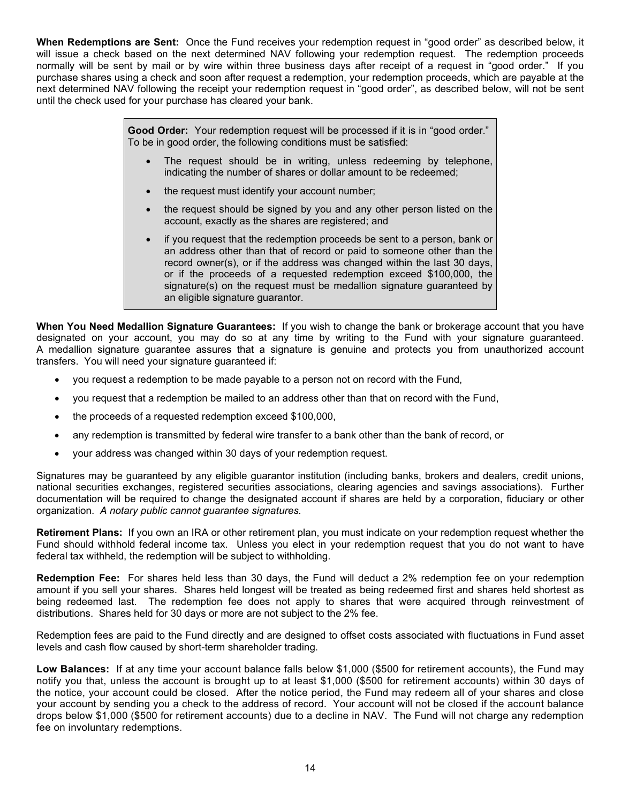**When Redemptions are Sent:** Once the Fund receives your redemption request in "good order" as described below, it will issue a check based on the next determined NAV following your redemption request. The redemption proceeds normally will be sent by mail or by wire within three business days after receipt of a request in "good order." If you purchase shares using a check and soon after request a redemption, your redemption proceeds, which are payable at the next determined NAV following the receipt your redemption request in "good order", as described below, will not be sent until the check used for your purchase has cleared your bank.

> **Good Order:** Your redemption request will be processed if it is in "good order." To be in good order, the following conditions must be satisfied:

- The request should be in writing, unless redeeming by telephone, indicating the number of shares or dollar amount to be redeemed;
- the request must identify your account number;
- the request should be signed by you and any other person listed on the account, exactly as the shares are registered; and
- if you request that the redemption proceeds be sent to a person, bank or an address other than that of record or paid to someone other than the record owner(s), or if the address was changed within the last 30 days, or if the proceeds of a requested redemption exceed \$100,000, the signature(s) on the request must be medallion signature guaranteed by an eligible signature guarantor.

**When You Need Medallion Signature Guarantees:** If you wish to change the bank or brokerage account that you have designated on your account, you may do so at any time by writing to the Fund with your signature guaranteed. A medallion signature guarantee assures that a signature is genuine and protects you from unauthorized account transfers. You will need your signature guaranteed if:

- you request a redemption to be made payable to a person not on record with the Fund,
- you request that a redemption be mailed to an address other than that on record with the Fund,
- the proceeds of a requested redemption exceed \$100,000,
- any redemption is transmitted by federal wire transfer to a bank other than the bank of record, or
- your address was changed within 30 days of your redemption request.

Signatures may be guaranteed by any eligible guarantor institution (including banks, brokers and dealers, credit unions, national securities exchanges, registered securities associations, clearing agencies and savings associations). Further documentation will be required to change the designated account if shares are held by a corporation, fiduciary or other organization. *A notary public cannot guarantee signatures.* 

**Retirement Plans:** If you own an IRA or other retirement plan, you must indicate on your redemption request whether the Fund should withhold federal income tax. Unless you elect in your redemption request that you do not want to have federal tax withheld, the redemption will be subject to withholding.

**Redemption Fee:** For shares held less than 30 days, the Fund will deduct a 2% redemption fee on your redemption amount if you sell your shares. Shares held longest will be treated as being redeemed first and shares held shortest as being redeemed last. The redemption fee does not apply to shares that were acquired through reinvestment of distributions. Shares held for 30 days or more are not subject to the 2% fee.

Redemption fees are paid to the Fund directly and are designed to offset costs associated with fluctuations in Fund asset levels and cash flow caused by short-term shareholder trading.

**Low Balances:** If at any time your account balance falls below \$1,000 (\$500 for retirement accounts), the Fund may notify you that, unless the account is brought up to at least \$1,000 (\$500 for retirement accounts) within 30 days of the notice, your account could be closed. After the notice period, the Fund may redeem all of your shares and close your account by sending you a check to the address of record. Your account will not be closed if the account balance drops below \$1,000 (\$500 for retirement accounts) due to a decline in NAV. The Fund will not charge any redemption fee on involuntary redemptions.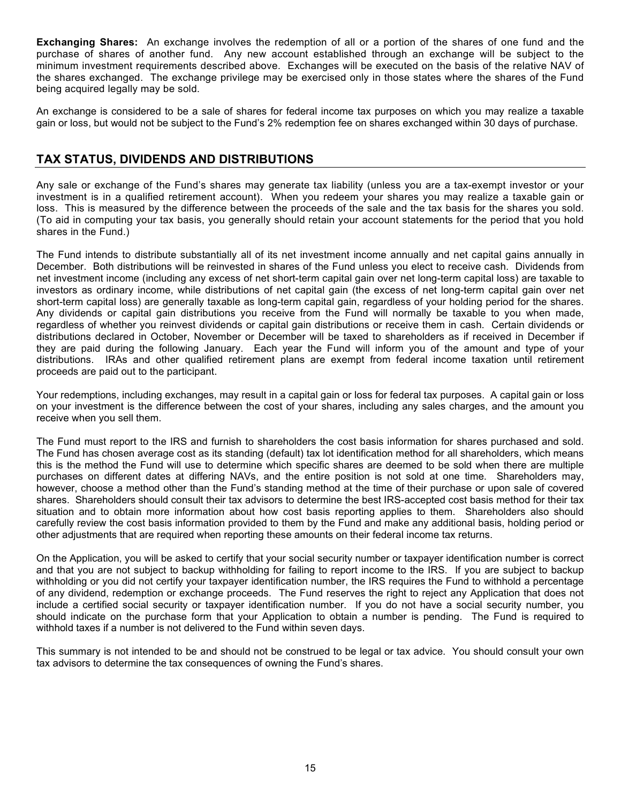**Exchanging Shares:** An exchange involves the redemption of all or a portion of the shares of one fund and the purchase of shares of another fund. Any new account established through an exchange will be subject to the minimum investment requirements described above. Exchanges will be executed on the basis of the relative NAV of the shares exchanged. The exchange privilege may be exercised only in those states where the shares of the Fund being acquired legally may be sold.

An exchange is considered to be a sale of shares for federal income tax purposes on which you may realize a taxable gain or loss, but would not be subject to the Fund's 2% redemption fee on shares exchanged within 30 days of purchase.

## <span id="page-16-0"></span>**TAX STATUS, DIVIDENDS AND DISTRIBUTIONS**

Any sale or exchange of the Fund's shares may generate tax liability (unless you are a tax-exempt investor or your investment is in a qualified retirement account). When you redeem your shares you may realize a taxable gain or loss. This is measured by the difference between the proceeds of the sale and the tax basis for the shares you sold. (To aid in computing your tax basis, you generally should retain your account statements for the period that you hold shares in the Fund.)

The Fund intends to distribute substantially all of its net investment income annually and net capital gains annually in December. Both distributions will be reinvested in shares of the Fund unless you elect to receive cash. Dividends from net investment income (including any excess of net short-term capital gain over net long-term capital loss) are taxable to investors as ordinary income, while distributions of net capital gain (the excess of net long-term capital gain over net short-term capital loss) are generally taxable as long-term capital gain, regardless of your holding period for the shares. Any dividends or capital gain distributions you receive from the Fund will normally be taxable to you when made, regardless of whether you reinvest dividends or capital gain distributions or receive them in cash. Certain dividends or distributions declared in October, November or December will be taxed to shareholders as if received in December if they are paid during the following January. Each year the Fund will inform you of the amount and type of your distributions. IRAs and other qualified retirement plans are exempt from federal income taxation until retirement proceeds are paid out to the participant.

Your redemptions, including exchanges, may result in a capital gain or loss for federal tax purposes. A capital gain or loss on your investment is the difference between the cost of your shares, including any sales charges, and the amount you receive when you sell them.

The Fund must report to the IRS and furnish to shareholders the cost basis information for shares purchased and sold. The Fund has chosen average cost as its standing (default) tax lot identification method for all shareholders, which means this is the method the Fund will use to determine which specific shares are deemed to be sold when there are multiple purchases on different dates at differing NAVs, and the entire position is not sold at one time. Shareholders may, however, choose a method other than the Fund's standing method at the time of their purchase or upon sale of covered shares. Shareholders should consult their tax advisors to determine the best IRS-accepted cost basis method for their tax situation and to obtain more information about how cost basis reporting applies to them. Shareholders also should carefully review the cost basis information provided to them by the Fund and make any additional basis, holding period or other adjustments that are required when reporting these amounts on their federal income tax returns.

On the Application, you will be asked to certify that your social security number or taxpayer identification number is correct and that you are not subject to backup withholding for failing to report income to the IRS. If you are subject to backup withholding or you did not certify your taxpayer identification number, the IRS requires the Fund to withhold a percentage of any dividend, redemption or exchange proceeds. The Fund reserves the right to reject any Application that does not include a certified social security or taxpayer identification number. If you do not have a social security number, you should indicate on the purchase form that your Application to obtain a number is pending. The Fund is required to withhold taxes if a number is not delivered to the Fund within seven days.

This summary is not intended to be and should not be construed to be legal or tax advice. You should consult your own tax advisors to determine the tax consequences of owning the Fund's shares.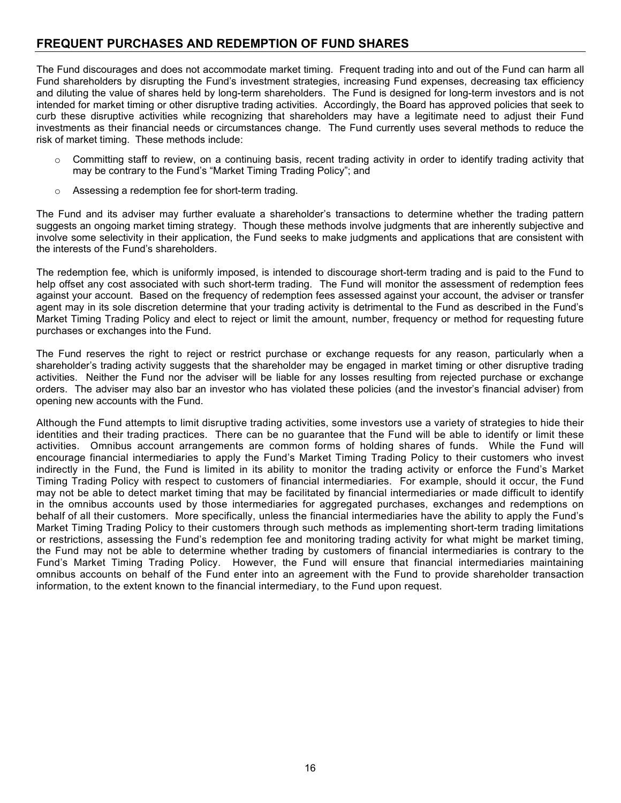## <span id="page-17-0"></span>**FREQUENT PURCHASES AND REDEMPTION OF FUND SHARES**

The Fund discourages and does not accommodate market timing. Frequent trading into and out of the Fund can harm all Fund shareholders by disrupting the Fund's investment strategies, increasing Fund expenses, decreasing tax efficiency and diluting the value of shares held by long-term shareholders. The Fund is designed for long-term investors and is not intended for market timing or other disruptive trading activities. Accordingly, the Board has approved policies that seek to curb these disruptive activities while recognizing that shareholders may have a legitimate need to adjust their Fund investments as their financial needs or circumstances change. The Fund currently uses several methods to reduce the risk of market timing. These methods include:

- $\circ$  Committing staff to review, on a continuing basis, recent trading activity in order to identify trading activity that may be contrary to the Fund's "Market Timing Trading Policy"; and
- o Assessing a redemption fee for short-term trading.

The Fund and its adviser may further evaluate a shareholder's transactions to determine whether the trading pattern suggests an ongoing market timing strategy. Though these methods involve judgments that are inherently subjective and involve some selectivity in their application, the Fund seeks to make judgments and applications that are consistent with the interests of the Fund's shareholders.

The redemption fee, which is uniformly imposed, is intended to discourage short-term trading and is paid to the Fund to help offset any cost associated with such short-term trading. The Fund will monitor the assessment of redemption fees against your account. Based on the frequency of redemption fees assessed against your account, the adviser or transfer agent may in its sole discretion determine that your trading activity is detrimental to the Fund as described in the Fund's Market Timing Trading Policy and elect to reject or limit the amount, number, frequency or method for requesting future purchases or exchanges into the Fund.

The Fund reserves the right to reject or restrict purchase or exchange requests for any reason, particularly when a shareholder's trading activity suggests that the shareholder may be engaged in market timing or other disruptive trading activities. Neither the Fund nor the adviser will be liable for any losses resulting from rejected purchase or exchange orders. The adviser may also bar an investor who has violated these policies (and the investor's financial adviser) from opening new accounts with the Fund.

Although the Fund attempts to limit disruptive trading activities, some investors use a variety of strategies to hide their identities and their trading practices. There can be no guarantee that the Fund will be able to identify or limit these activities. Omnibus account arrangements are common forms of holding shares of funds. While the Fund will encourage financial intermediaries to apply the Fund's Market Timing Trading Policy to their customers who invest indirectly in the Fund, the Fund is limited in its ability to monitor the trading activity or enforce the Fund's Market Timing Trading Policy with respect to customers of financial intermediaries. For example, should it occur, the Fund may not be able to detect market timing that may be facilitated by financial intermediaries or made difficult to identify in the omnibus accounts used by those intermediaries for aggregated purchases, exchanges and redemptions on behalf of all their customers. More specifically, unless the financial intermediaries have the ability to apply the Fund's Market Timing Trading Policy to their customers through such methods as implementing short-term trading limitations or restrictions, assessing the Fund's redemption fee and monitoring trading activity for what might be market timing, the Fund may not be able to determine whether trading by customers of financial intermediaries is contrary to the Fund's Market Timing Trading Policy. However, the Fund will ensure that financial intermediaries maintaining omnibus accounts on behalf of the Fund enter into an agreement with the Fund to provide shareholder transaction information, to the extent known to the financial intermediary, to the Fund upon request.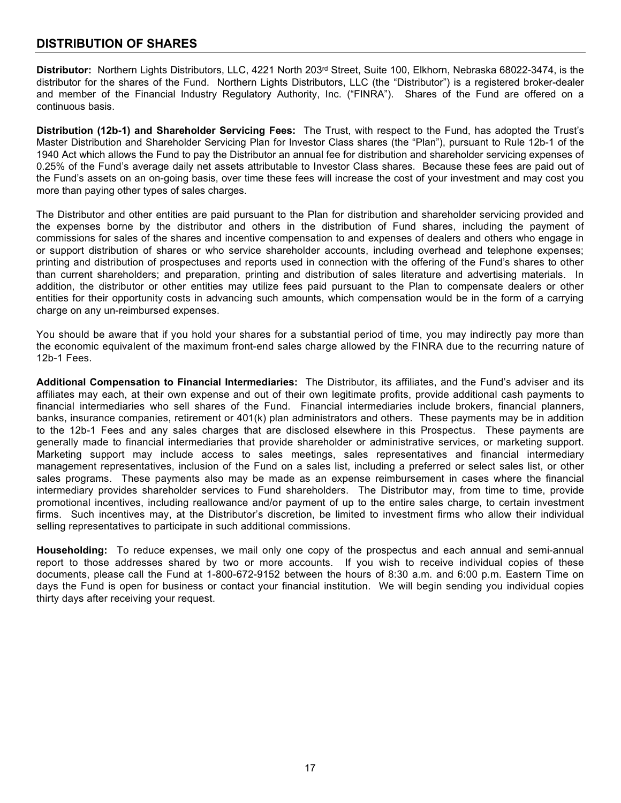## <span id="page-18-0"></span>**DISTRIBUTION OF SHARES**

<span id="page-18-1"></span>**Distributor:** Northern Lights Distributors, LLC, 4221 North 203rd Street, Suite 100, Elkhorn, Nebraska 68022-3474, is the distributor for the shares of the Fund. Northern Lights Distributors, LLC (the "Distributor") is a registered broker-dealer and member of the Financial Industry Regulatory Authority, Inc. ("FINRA"). Shares of the Fund are offered on a continuous basis.

<span id="page-18-2"></span>**Distribution (12b-1) and Shareholder Servicing Fees:** The Trust, with respect to the Fund, has adopted the Trust's Master Distribution and Shareholder Servicing Plan for Investor Class shares (the "Plan"), pursuant to Rule 12b-1 of the 1940 Act which allows the Fund to pay the Distributor an annual fee for distribution and shareholder servicing expenses of 0.25% of the Fund's average daily net assets attributable to Investor Class shares. Because these fees are paid out of the Fund's assets on an on-going basis, over time these fees will increase the cost of your investment and may cost you more than paying other types of sales charges.

The Distributor and other entities are paid pursuant to the Plan for distribution and shareholder servicing provided and the expenses borne by the distributor and others in the distribution of Fund shares, including the payment of commissions for sales of the shares and incentive compensation to and expenses of dealers and others who engage in or support distribution of shares or who service shareholder accounts, including overhead and telephone expenses; printing and distribution of prospectuses and reports used in connection with the offering of the Fund's shares to other than current shareholders; and preparation, printing and distribution of sales literature and advertising materials. In addition, the distributor or other entities may utilize fees paid pursuant to the Plan to compensate dealers or other entities for their opportunity costs in advancing such amounts, which compensation would be in the form of a carrying charge on any un-reimbursed expenses.

You should be aware that if you hold your shares for a substantial period of time, you may indirectly pay more than the economic equivalent of the maximum front-end sales charge allowed by the FINRA due to the recurring nature of 12b-1 Fees.

<span id="page-18-3"></span>**Additional Compensation to Financial Intermediaries:** The Distributor, its affiliates, and the Fund's adviser and its affiliates may each, at their own expense and out of their own legitimate profits, provide additional cash payments to financial intermediaries who sell shares of the Fund. Financial intermediaries include brokers, financial planners, banks, insurance companies, retirement or 401(k) plan administrators and others. These payments may be in addition to the 12b-1 Fees and any sales charges that are disclosed elsewhere in this Prospectus. These payments are generally made to financial intermediaries that provide shareholder or administrative services, or marketing support. Marketing support may include access to sales meetings, sales representatives and financial intermediary management representatives, inclusion of the Fund on a sales list, including a preferred or select sales list, or other sales programs. These payments also may be made as an expense reimbursement in cases where the financial intermediary provides shareholder services to Fund shareholders. The Distributor may, from time to time, provide promotional incentives, including reallowance and/or payment of up to the entire sales charge, to certain investment firms. Such incentives may, at the Distributor's discretion, be limited to investment firms who allow their individual selling representatives to participate in such additional commissions.

<span id="page-18-4"></span>**Householding:** To reduce expenses, we mail only one copy of the prospectus and each annual and semi-annual report to those addresses shared by two or more accounts. If you wish to receive individual copies of these documents, please call the Fund at 1-800-672-9152 between the hours of 8:30 a.m. and 6:00 p.m. Eastern Time on days the Fund is open for business or contact your financial institution. We will begin sending you individual copies thirty days after receiving your request.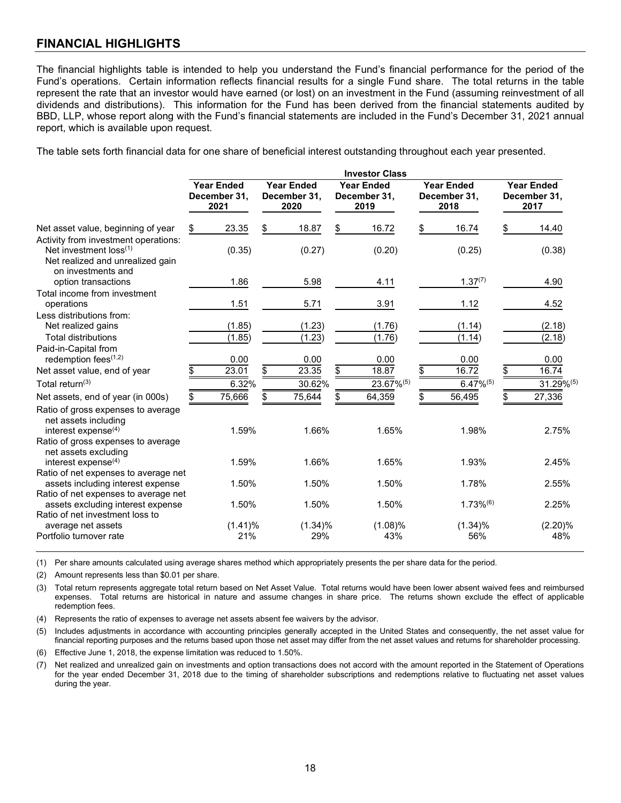## <span id="page-19-0"></span>**FINANCIAL HIGHLIGHTS**

The financial highlights table is intended to help you understand the Fund's financial performance for the period of the Fund's operations. Certain information reflects financial results for a single Fund share. The total returns in the table represent the rate that an investor would have earned (or lost) on an investment in the Fund (assuming reinvestment of all dividends and distributions). This information for the Fund has been derived from the financial statements audited by BBD, LLP, whose report along with the Fund's financial statements are included in the Fund's December 31, 2021 annual report, which is available upon request.

The table sets forth financial data for one share of beneficial interest outstanding throughout each year presented.

|                                                                                                                               | <b>Investor Class</b> |                                           |    |                                           |                                           |                                           |    |                                           |
|-------------------------------------------------------------------------------------------------------------------------------|-----------------------|-------------------------------------------|----|-------------------------------------------|-------------------------------------------|-------------------------------------------|----|-------------------------------------------|
|                                                                                                                               |                       | <b>Year Ended</b><br>December 31,<br>2021 |    | <b>Year Ended</b><br>December 31,<br>2020 | <b>Year Ended</b><br>December 31,<br>2019 | <b>Year Ended</b><br>December 31,<br>2018 |    | <b>Year Ended</b><br>December 31,<br>2017 |
| Net asset value, beginning of year                                                                                            | \$                    | 23.35                                     | \$ | 18.87                                     | \$<br>16.72                               | \$<br>16.74                               | \$ | 14.40                                     |
| Activity from investment operations:<br>Net investment $loss^{(1)}$<br>Net realized and unrealized gain<br>on investments and |                       | (0.35)                                    |    | (0.27)                                    | (0.20)                                    | (0.25)                                    |    | (0.38)                                    |
| option transactions                                                                                                           |                       | 1.86                                      |    | 5.98                                      | 4.11                                      | $1.37^{(7)}$                              |    | 4.90                                      |
| Total income from investment                                                                                                  |                       |                                           |    |                                           |                                           |                                           |    |                                           |
| operations                                                                                                                    |                       | 1.51                                      |    | 5.71                                      | 3.91                                      | 1.12                                      |    | 4.52                                      |
| Less distributions from:                                                                                                      |                       |                                           |    |                                           |                                           |                                           |    |                                           |
| Net realized gains<br><b>Total distributions</b>                                                                              |                       | (1.85)                                    |    | (1.23)                                    | (1.76)                                    | (1.14)                                    |    | (2.18)                                    |
| Paid-in-Capital from                                                                                                          |                       | (1.85)                                    |    | (1.23)                                    | (1.76)                                    | (1.14)                                    |    | (2.18)                                    |
| redemption fees $(1,2)$                                                                                                       |                       | 0.00                                      |    | 0.00                                      | 0.00                                      | 0.00                                      |    | 0.00                                      |
| Net asset value, end of year                                                                                                  |                       | 23.01                                     | \$ | 23.35                                     | \$<br>18.87                               | \$<br>16.72                               | \$ | 16.74                                     |
| Total return $(3)$                                                                                                            |                       | 6.32%                                     |    | 30.62%                                    | 23.67%(5)                                 | $6.47\%^{(5)}$                            |    | 31.29%(5)                                 |
| Net assets, end of year (in 000s)                                                                                             | \$                    | 75,666                                    |    | 75,644                                    | \$<br>64,359                              | 56,495                                    |    | 27,336                                    |
| Ratio of gross expenses to average<br>net assets including<br>interest expense <sup>(4)</sup>                                 |                       | 1.59%                                     |    | 1.66%                                     | 1.65%                                     | 1.98%                                     |    | 2.75%                                     |
| Ratio of gross expenses to average<br>net assets excluding<br>interest expense <sup>(4)</sup>                                 |                       | 1.59%                                     |    | 1.66%                                     | 1.65%                                     | 1.93%                                     |    | 2.45%                                     |
| Ratio of net expenses to average net<br>assets including interest expense<br>Ratio of net expenses to average net             |                       | 1.50%                                     |    | 1.50%                                     | 1.50%                                     | 1.78%                                     |    | 2.55%                                     |
| assets excluding interest expense<br>Ratio of net investment loss to                                                          |                       | 1.50%                                     |    | 1.50%                                     | 1.50%                                     | $1.73\%$ <sup>(6)</sup>                   |    | 2.25%                                     |
| average net assets<br>Portfolio turnover rate                                                                                 |                       | (1.41)%<br>21%                            |    | $(1.34)\%$<br>29%                         | (1.08)%<br>43%                            | (1.34)%<br>56%                            |    | (2.20)%<br>48%                            |
|                                                                                                                               |                       |                                           |    |                                           |                                           |                                           |    |                                           |

(1) Per share amounts calculated using average shares method which appropriately presents the per share data for the period.

(2) Amount represents less than \$0.01 per share.

(3) Total return represents aggregate total return based on Net Asset Value. Total returns would have been lower absent waived fees and reimbursed expenses. Total returns are historical in nature and assume changes in share price. The returns shown exclude the effect of applicable redemption fees.

(4) Represents the ratio of expenses to average net assets absent fee waivers by the advisor.

(5) Includes adjustments in accordance with accounting principles generally accepted in the United States and consequently, the net asset value for financial reporting purposes and the returns based upon those net asset may differ from the net asset values and returns for shareholder processing.

(6) Effective June 1, 2018, the expense limitation was reduced to 1.50%.

(7) Net realized and unrealized gain on investments and option transactions does not accord with the amount reported in the Statement of Operations for the year ended December 31, 2018 due to the timing of shareholder subscriptions and redemptions relative to fluctuating net asset values during the year.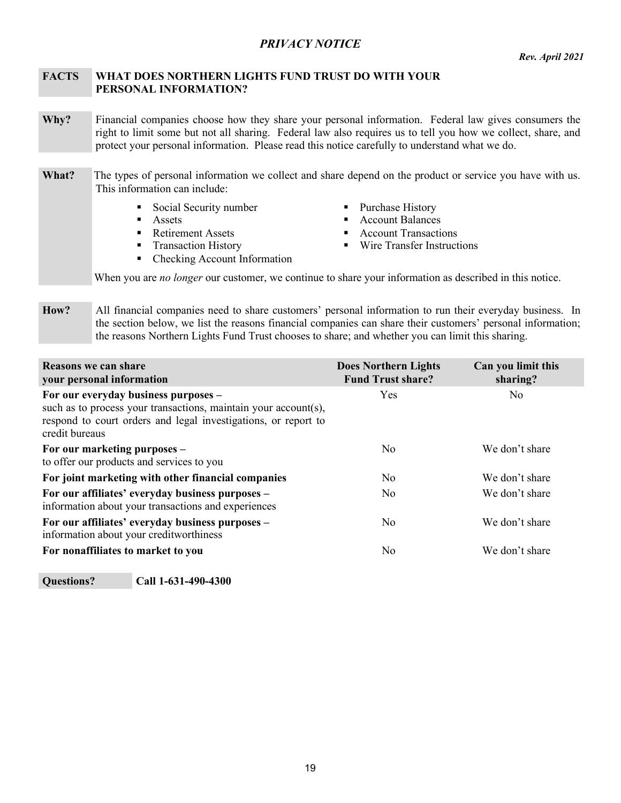## *PRIVACY NOTICE*

### <span id="page-20-0"></span>**FACTS WHAT DOES NORTHERN LIGHTS FUND TRUST DO WITH YOUR PERSONAL INFORMATION?**

- **Why?** Financial companies choose how they share your personal information. Federal law gives consumers the right to limit some but not all sharing. Federal law also requires us to tell you how we collect, share, and protect your personal information. Please read this notice carefully to understand what we do.
- **What?** The types of personal information we collect and share depend on the product or service you have with us. This information can include:
	- Social Security number <br> Purchase History<br>
	Account Balances
	-
	-
	-
	- Checking Account Information
- 
- $\blacksquare$  Account Balances
- Retirement Assets **Account Transactions**
- Transaction History Wire Transfer Instructions

When you are *no longer* our customer, we continue to share your information as described in this notice.

**How?** All financial companies need to share customers' personal information to run their everyday business. In the section below, we list the reasons financial companies can share their customers' personal information; the reasons Northern Lights Fund Trust chooses to share; and whether you can limit this sharing.

| Reasons we can share<br>your personal information                                                                                                                                           | <b>Does Northern Lights</b><br><b>Fund Trust share?</b> | Can you limit this<br>sharing? |
|---------------------------------------------------------------------------------------------------------------------------------------------------------------------------------------------|---------------------------------------------------------|--------------------------------|
| For our everyday business purposes -<br>such as to process your transactions, maintain your account(s),<br>respond to court orders and legal investigations, or report to<br>credit bureaus | <b>Yes</b>                                              | No                             |
| For our marketing purposes -<br>to offer our products and services to you                                                                                                                   | No.                                                     | We don't share                 |
| For joint marketing with other financial companies                                                                                                                                          | N <sub>0</sub>                                          | We don't share                 |
| For our affiliates' everyday business purposes -<br>information about your transactions and experiences                                                                                     | No.                                                     | We don't share                 |
| For our affiliates' everyday business purposes –<br>information about your creditworthiness                                                                                                 | N <sub>0</sub>                                          | We don't share                 |
| For nonaffiliates to market to you                                                                                                                                                          | No                                                      | We don't share                 |

**Questions? Call 1-631-490-4300**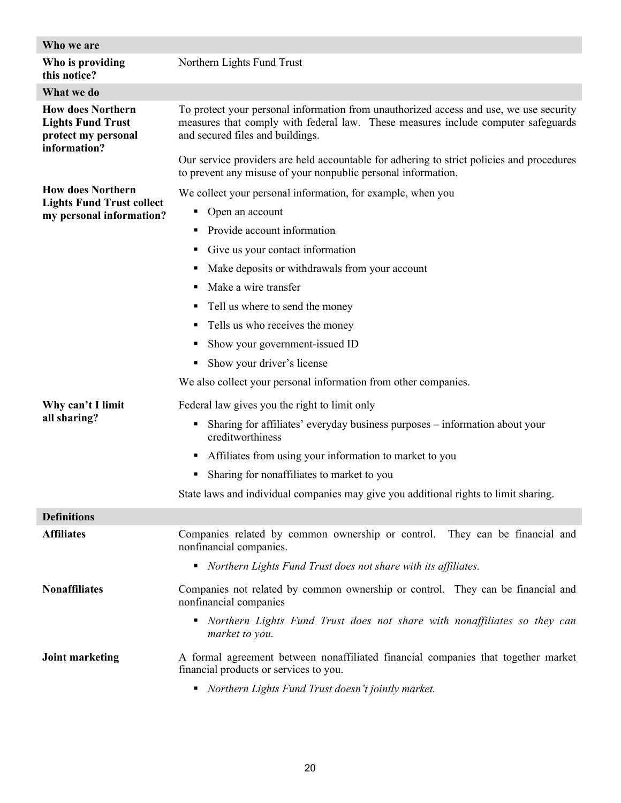| Who we are                                                                                  |                                                                                                                                                                                                                                                                                                              |  |  |  |  |
|---------------------------------------------------------------------------------------------|--------------------------------------------------------------------------------------------------------------------------------------------------------------------------------------------------------------------------------------------------------------------------------------------------------------|--|--|--|--|
| Who is providing<br>this notice?                                                            | Northern Lights Fund Trust                                                                                                                                                                                                                                                                                   |  |  |  |  |
| What we do                                                                                  |                                                                                                                                                                                                                                                                                                              |  |  |  |  |
| <b>How does Northern</b><br><b>Lights Fund Trust</b><br>protect my personal<br>information? | To protect your personal information from unauthorized access and use, we use security<br>measures that comply with federal law. These measures include computer safeguards<br>and secured files and buildings.<br>Our service providers are held accountable for adhering to strict policies and procedures |  |  |  |  |
|                                                                                             | to prevent any misuse of your nonpublic personal information.                                                                                                                                                                                                                                                |  |  |  |  |
| <b>How does Northern</b>                                                                    | We collect your personal information, for example, when you                                                                                                                                                                                                                                                  |  |  |  |  |
| <b>Lights Fund Trust collect</b><br>my personal information?                                | Open an account<br>٠                                                                                                                                                                                                                                                                                         |  |  |  |  |
|                                                                                             | Provide account information<br>٠                                                                                                                                                                                                                                                                             |  |  |  |  |
|                                                                                             | Give us your contact information<br>٠                                                                                                                                                                                                                                                                        |  |  |  |  |
|                                                                                             | Make deposits or withdrawals from your account<br>٠                                                                                                                                                                                                                                                          |  |  |  |  |
|                                                                                             | Make a wire transfer<br>٠                                                                                                                                                                                                                                                                                    |  |  |  |  |
|                                                                                             | Tell us where to send the money<br>٠                                                                                                                                                                                                                                                                         |  |  |  |  |
|                                                                                             | Tells us who receives the money<br>٠                                                                                                                                                                                                                                                                         |  |  |  |  |
|                                                                                             | Show your government-issued ID                                                                                                                                                                                                                                                                               |  |  |  |  |
|                                                                                             | Show your driver's license<br>٠                                                                                                                                                                                                                                                                              |  |  |  |  |
|                                                                                             | We also collect your personal information from other companies.                                                                                                                                                                                                                                              |  |  |  |  |
| Why can't I limit                                                                           | Federal law gives you the right to limit only                                                                                                                                                                                                                                                                |  |  |  |  |
| all sharing?                                                                                | Sharing for affiliates' everyday business purposes – information about your<br>٠<br>creditworthiness                                                                                                                                                                                                         |  |  |  |  |
|                                                                                             | Affiliates from using your information to market to you<br>٠                                                                                                                                                                                                                                                 |  |  |  |  |
|                                                                                             | Sharing for nonaffiliates to market to you<br>٠                                                                                                                                                                                                                                                              |  |  |  |  |
|                                                                                             | State laws and individual companies may give you additional rights to limit sharing.                                                                                                                                                                                                                         |  |  |  |  |
| <b>Definitions</b>                                                                          |                                                                                                                                                                                                                                                                                                              |  |  |  |  |
| <b>Affiliates</b>                                                                           | Companies related by common ownership or control. They can be financial and<br>nonfinancial companies.                                                                                                                                                                                                       |  |  |  |  |
|                                                                                             | • Northern Lights Fund Trust does not share with its affiliates.                                                                                                                                                                                                                                             |  |  |  |  |
| <b>Nonaffiliates</b>                                                                        | Companies not related by common ownership or control. They can be financial and<br>nonfinancial companies                                                                                                                                                                                                    |  |  |  |  |
|                                                                                             | • Northern Lights Fund Trust does not share with nonaffiliates so they can<br>market to you.                                                                                                                                                                                                                 |  |  |  |  |
| <b>Joint marketing</b>                                                                      | A formal agreement between nonaffiliated financial companies that together market<br>financial products or services to you.                                                                                                                                                                                  |  |  |  |  |
|                                                                                             | Northern Lights Fund Trust doesn't jointly market.<br>٠                                                                                                                                                                                                                                                      |  |  |  |  |